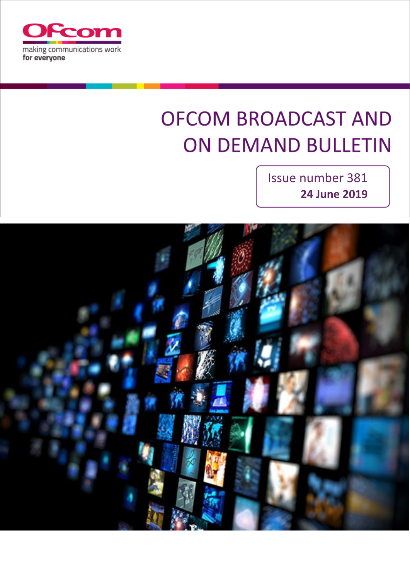

# **OFCOM BROADCAST AND ON DEMAND BULLETIN**

Issue number 381 **24 June 2019**

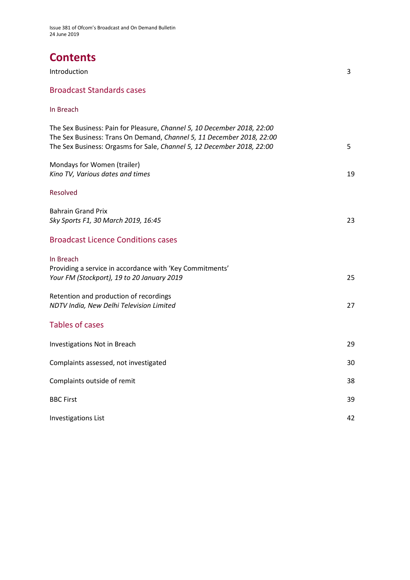# **Contents**

| <b>Introduction</b>              | ີ |
|----------------------------------|---|
| <b>Broadcast Standards cases</b> |   |

### In Breach

| The Sex Business: Pain for Pleasure, Channel 5, 10 December 2018, 22:00<br>The Sex Business: Trans On Demand, Channel 5, 11 December 2018, 22:00<br>The Sex Business: Orgasms for Sale, Channel 5, 12 December 2018, 22:00 | 5  |
|----------------------------------------------------------------------------------------------------------------------------------------------------------------------------------------------------------------------------|----|
| Mondays for Women (trailer)<br>Kino TV, Various dates and times                                                                                                                                                            | 19 |
| <b>Resolved</b>                                                                                                                                                                                                            |    |
| <b>Bahrain Grand Prix</b><br>Sky Sports F1, 30 March 2019, 16:45                                                                                                                                                           | 23 |
| <b>Broadcast Licence Conditions cases</b>                                                                                                                                                                                  |    |
| In Breach<br>Providing a service in accordance with 'Key Commitments'<br>Your FM (Stockport), 19 to 20 January 2019                                                                                                        | 25 |
| Retention and production of recordings<br>NDTV India, New Delhi Television Limited                                                                                                                                         | 27 |
| <b>Tables of cases</b>                                                                                                                                                                                                     |    |
| Investigations Not in Breach                                                                                                                                                                                               | 29 |
| Complaints assessed, not investigated                                                                                                                                                                                      | 30 |
| Complaints outside of remit                                                                                                                                                                                                | 38 |
| <b>BBC First</b>                                                                                                                                                                                                           | 39 |
| <b>Investigations List</b>                                                                                                                                                                                                 | 42 |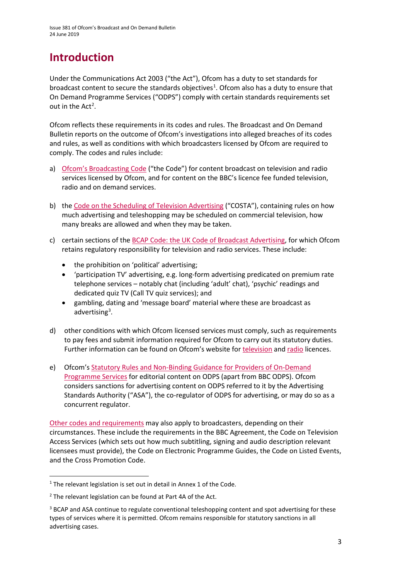# **Introduction**

Under the Communications Act 2003 ("the Act"), Ofcom has a duty to set standards for broadcast content to secure the standards objectives<sup>[1](#page-2-0)</sup>. Ofcom also has a duty to ensure that On Demand Programme Services ("ODPS") comply with certain standards requirements set out in the  $Act^2$  $Act^2$ .

Ofcom reflects these requirements in its codes and rules. The Broadcast and On Demand Bulletin reports on the outcome of Ofcom's investigations into alleged breaches of its codes and rules, as well as conditions with which broadcasters licensed by Ofcom are required to comply. The codes and rules include:

- a) [Ofcom's Broadcasting Code](http://stakeholders.ofcom.org.uk/broadcasting/broadcast-codes/broadcast-code/) ("the Code") for content broadcast on television and radio services licensed by Ofcom, and for content on the BBC's licence fee funded television, radio and on demand services.
- b) the [Code on the Scheduling of Television Advertising](https://www.ofcom.org.uk/__data/assets/pdf_file/0014/32162/costa-april-2016.pdf) ("COSTA"), containing rules on how much advertising and teleshopping may be scheduled on commercial television, how many breaks are allowed and when they may be taken.
- c) certain sections of th[e BCAP Code: the UK Code of Broadcast Advertising,](https://www.asa.org.uk/codes-and-rulings/advertising-codes/broadcast-code.html) for which Ofcom retains regulatory responsibility for television and radio services. These include:
	- the prohibition on 'political' advertising;
	- 'participation TV' advertising, e.g. long-form advertising predicated on premium rate telephone services – notably chat (including 'adult' chat), 'psychic' readings and dedicated quiz TV (Call TV quiz services); and
	- gambling, dating and 'message board' material where these are broadcast as advertising<sup>3</sup>.
- d) other conditions with which Ofcom licensed services must comply, such as requirements to pay fees and submit information required for Ofcom to carry out its statutory duties. Further information can be found on Ofcom's website for [television](http://licensing.ofcom.org.uk/tv-broadcast-licences/) and [radio](http://licensing.ofcom.org.uk/radio-broadcast-licensing/) licences.
- e) Ofcom'[s Statutory Rules and Non-Binding Guidance for Providers of On-Demand](http://stakeholders.ofcom.org.uk/binaries/broadcast/on-demand/rules-guidance/rules_and_guidance.pdf)  [Programme Services](http://stakeholders.ofcom.org.uk/binaries/broadcast/on-demand/rules-guidance/rules_and_guidance.pdf) for editorial content on ODPS (apart from BBC ODPS). Ofcom considers sanctions for advertising content on ODPS referred to it by the Advertising Standards Authority ("ASA"), the co-regulator of ODPS for advertising, or may do so as a concurrent regulator.

[Other codes and requirements](http://stakeholders.ofcom.org.uk/broadcasting/broadcast-codes/) may also apply to broadcasters, depending on their circumstances. These include the requirements in the BBC Agreement, the Code on Television Access Services (which sets out how much subtitling, signing and audio description relevant licensees must provide), the Code on Electronic Programme Guides, the Code on Listed Events, and the Cross Promotion Code.

<span id="page-2-0"></span><sup>&</sup>lt;sup>1</sup> The relevant legislation is set out in detail in Annex 1 of the Code.

<span id="page-2-1"></span> $2$  The relevant legislation can be found at Part 4A of the Act.

<span id="page-2-2"></span><sup>&</sup>lt;sup>3</sup> BCAP and ASA continue to regulate conventional teleshopping content and spot advertising for these types of services where it is permitted. Ofcom remains responsible for statutory sanctions in all advertising cases.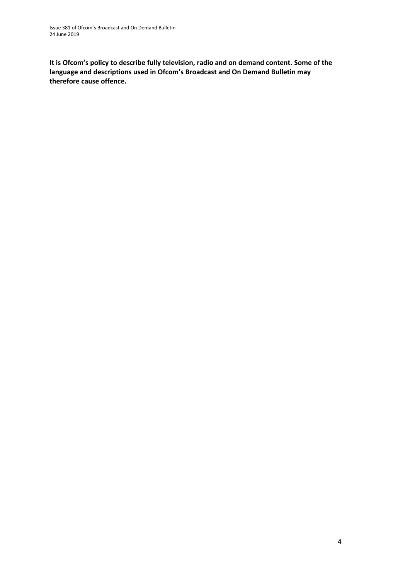**It is Ofcom's policy to describe fully television, radio and on demand content. Some of the language and descriptions used in Ofcom's Broadcast and On Demand Bulletin may therefore cause offence.**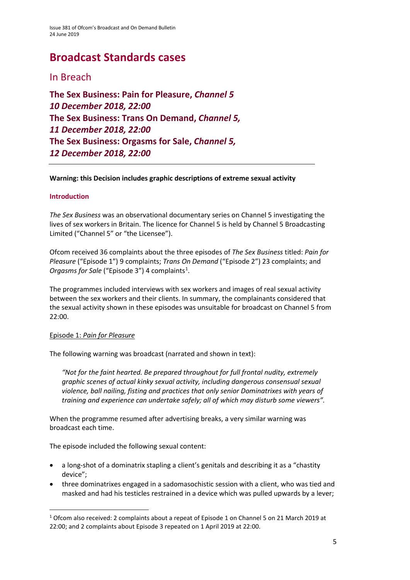# **Broadcast Standards cases**

### In Breach

**The Sex Business: Pain for Pleasure,** *Channel 5 10 December 2018, 22:00* **The Sex Business: Trans On Demand,** *Channel 5, 11 December 2018, 22:00* **The Sex Business: Orgasms for Sale,** *Channel 5, 12 December 2018, 22:00* 

### **Warning: this Decision includes graphic descriptions of extreme sexual activity**

### **Introduction**

*The Sex Business* was an observational documentary series on Channel 5 investigating the lives of sex workers in Britain. The licence for Channel 5 is held by Channel 5 Broadcasting Limited ("Channel 5" or "the Licensee").

Ofcom received 36 complaints about the three episodes of *The Sex Business* titled: *Pain for Pleasure* ("Episode 1") 9 complaints; *Trans On Demand* ("Episode 2") 23 complaints; and Orgasms for Sale ("Episode 3") 4 complaints<sup>[1](#page-4-0)</sup>.

The programmes included interviews with sex workers and images of real sexual activity between the sex workers and their clients. In summary, the complainants considered that the sexual activity shown in these episodes was unsuitable for broadcast on Channel 5 from 22:00.

### Episode 1: *Pain for Pleasure*

The following warning was broadcast (narrated and shown in text):

*"Not for the faint hearted. Be prepared throughout for full frontal nudity, extremely graphic scenes of actual kinky sexual activity, including dangerous consensual sexual violence, ball nailing, fisting and practices that only senior Dominatrixes with years of training and experience can undertake safely; all of which may disturb some viewers".* 

When the programme resumed after advertising breaks, a very similar warning was broadcast each time.

The episode included the following sexual content:

- a long-shot of a dominatrix stapling a client's genitals and describing it as a "chastity device";
- three dominatrixes engaged in a sadomasochistic session with a client, who was tied and masked and had his testicles restrained in a device which was pulled upwards by a lever;

<span id="page-4-0"></span><sup>&</sup>lt;sup>1</sup> Ofcom also received: 2 complaints about a repeat of Episode 1 on Channel 5 on 21 March 2019 at 22:00; and 2 complaints about Episode 3 repeated on 1 April 2019 at 22:00.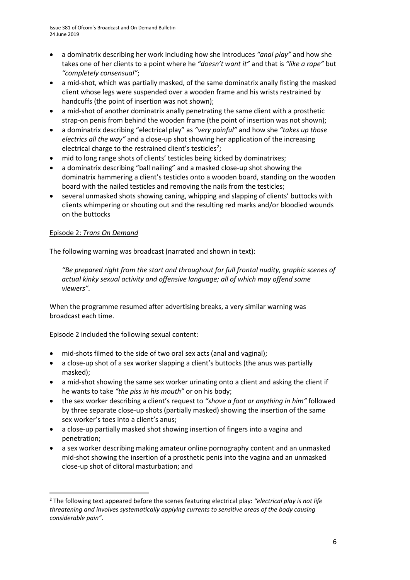- a dominatrix describing her work including how she introduces *"anal play"* and how she takes one of her clients to a point where he *"doesn't want it"* and that is *"like a rape"* but *"completely consensual"*;
- a mid-shot, which was partially masked, of the same dominatrix anally fisting the masked client whose legs were suspended over a wooden frame and his wrists restrained by handcuffs (the point of insertion was not shown);
- a mid-shot of another dominatrix anally penetrating the same client with a prosthetic strap-on penis from behind the wooden frame (the point of insertion was not shown);
- a dominatrix describing "electrical play" as *"very painful"* and how she *"takes up those electrics all the way"* and a close-up shot showing her application of the increasing electrical charge to the restrained client's testicles<sup>[2](#page-5-0)</sup>;
- mid to long range shots of clients' testicles being kicked by dominatrixes;
- a dominatrix describing "ball nailing" and a masked close-up shot showing the dominatrix hammering a client's testicles onto a wooden board, standing on the wooden board with the nailed testicles and removing the nails from the testicles;
- several unmasked shots showing caning, whipping and slapping of clients' buttocks with clients whimpering or shouting out and the resulting red marks and/or bloodied wounds on the buttocks

### Episode 2: *Trans On Demand*

The following warning was broadcast (narrated and shown in text):

*"Be prepared right from the start and throughout for full frontal nudity, graphic scenes of actual kinky sexual activity and offensive language; all of which may offend some viewers".* 

When the programme resumed after advertising breaks, a very similar warning was broadcast each time.

Episode 2 included the following sexual content:

- mid-shots filmed to the side of two oral sex acts (anal and vaginal);
- a close-up shot of a sex worker slapping a client's buttocks (the anus was partially masked);
- a mid-shot showing the same sex worker urinating onto a client and asking the client if he wants to take *"the piss in his mouth"* or on his body;
- the sex worker describing a client's request to *"shove a foot or anything in him"* followed by three separate close-up shots (partially masked) showing the insertion of the same sex worker's toes into a client's anus;
- a close-up partially masked shot showing insertion of fingers into a vagina and penetration;
- a sex worker describing making amateur online pornography content and an unmasked mid-shot showing the insertion of a prosthetic penis into the vagina and an unmasked close-up shot of clitoral masturbation; and

<span id="page-5-0"></span> <sup>2</sup> The following text appeared before the scenes featuring electrical play: *"electrical play is not life threatening and involves systematically applying currents to sensitive areas of the body causing considerable pain"*.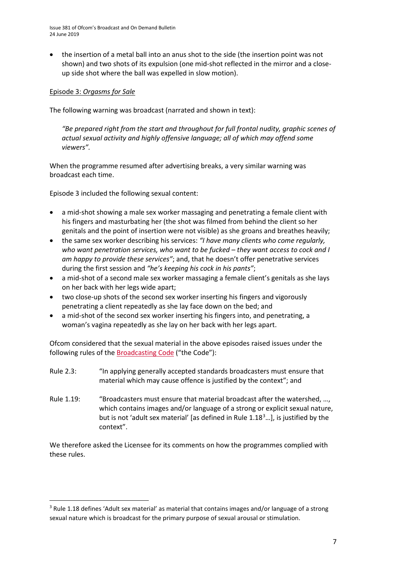• the insertion of a metal ball into an anus shot to the side (the insertion point was not shown) and two shots of its expulsion (one mid-shot reflected in the mirror and a closeup side shot where the ball was expelled in slow motion).

### Episode 3: *Orgasms for Sale*

The following warning was broadcast (narrated and shown in text):

*"Be prepared right from the start and throughout for full frontal nudity, graphic scenes of actual sexual activity and highly offensive language; all of which may offend some viewers".*

When the programme resumed after advertising breaks, a very similar warning was broadcast each time.

Episode 3 included the following sexual content:

- a mid-shot showing a male sex worker massaging and penetrating a female client with his fingers and masturbating her (the shot was filmed from behind the client so her genitals and the point of insertion were not visible) as she groans and breathes heavily;
- the same sex worker describing his services: *"I have many clients who come regularly, who want penetration services, who want to be fucked – they want access to cock and I am happy to provide these services"*; and, that he doesn't offer penetrative services during the first session and *"he's keeping his cock in his pants"*;
- a mid-shot of a second male sex worker massaging a female client's genitals as she lays on her back with her legs wide apart;
- two close-up shots of the second sex worker inserting his fingers and vigorously penetrating a client repeatedly as she lay face down on the bed; and
- a mid-shot of the second sex worker inserting his fingers into, and penetrating, a woman's vagina repeatedly as she lay on her back with her legs apart.

Ofcom considered that the sexual material in the above episodes raised issues under the following rules of the [Broadcasting Code](https://www.ofcom.org.uk/tv-radio-and-on-demand/broadcast-codes/broadcast-code) ("the Code"):

- Rule 2.3: "In applying generally accepted standards broadcasters must ensure that material which may cause offence is justified by the context"; and
- Rule 1.19: "Broadcasters must ensure that material broadcast after the watershed, …, which contains images and/or language of a strong or explicit sexual nature, but is not 'adult sex material' [as defined in Rule 1.18<sup>[3](#page-6-0)</sup>...], is justified by the context".

We therefore asked the Licensee for its comments on how the programmes complied with these rules.

<span id="page-6-0"></span><sup>&</sup>lt;sup>3</sup> Rule 1.18 defines 'Adult sex material' as material that contains images and/or language of a strong sexual nature which is broadcast for the primary purpose of sexual arousal or stimulation.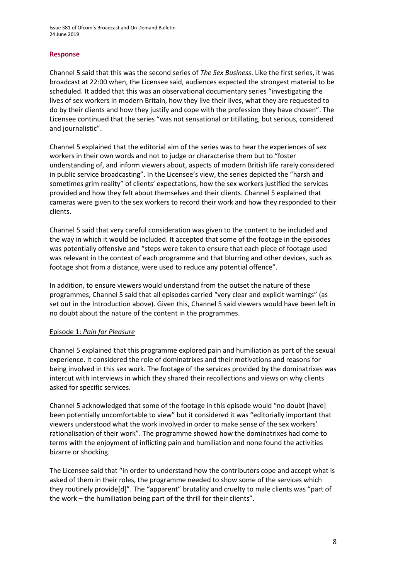#### **Response**

Channel 5 said that this was the second series of *The Sex Business*. Like the first series, it was broadcast at 22:00 when, the Licensee said, audiences expected the strongest material to be scheduled. It added that this was an observational documentary series "investigating the lives of sex workers in modern Britain, how they live their lives, what they are requested to do by their clients and how they justify and cope with the profession they have chosen". The Licensee continued that the series "was not sensational or titillating, but serious, considered and journalistic".

Channel 5 explained that the editorial aim of the series was to hear the experiences of sex workers in their own words and not to judge or characterise them but to "foster understanding of, and inform viewers about, aspects of modern British life rarely considered in public service broadcasting". In the Licensee's view, the series depicted the "harsh and sometimes grim reality" of clients' expectations, how the sex workers justified the services provided and how they felt about themselves and their clients. Channel 5 explained that cameras were given to the sex workers to record their work and how they responded to their clients.

Channel 5 said that very careful consideration was given to the content to be included and the way in which it would be included. It accepted that some of the footage in the episodes was potentially offensive and "steps were taken to ensure that each piece of footage used was relevant in the context of each programme and that blurring and other devices, such as footage shot from a distance, were used to reduce any potential offence".

In addition, to ensure viewers would understand from the outset the nature of these programmes, Channel 5 said that all episodes carried "very clear and explicit warnings" (as set out in the Introduction above). Given this, Channel 5 said viewers would have been left in no doubt about the nature of the content in the programmes.

#### Episode 1: *Pain for Pleasure*

Channel 5 explained that this programme explored pain and humiliation as part of the sexual experience. It considered the role of dominatrixes and their motivations and reasons for being involved in this sex work. The footage of the services provided by the dominatrixes was intercut with interviews in which they shared their recollections and views on why clients asked for specific services.

Channel 5 acknowledged that some of the footage in this episode would "no doubt [have] been potentially uncomfortable to view" but it considered it was "editorially important that viewers understood what the work involved in order to make sense of the sex workers' rationalisation of their work". The programme showed how the dominatrixes had come to terms with the enjoyment of inflicting pain and humiliation and none found the activities bizarre or shocking.

The Licensee said that "in order to understand how the contributors cope and accept what is asked of them in their roles, the programme needed to show some of the services which they routinely provide[d]". The "apparent" brutality and cruelty to male clients was "part of the work – the humiliation being part of the thrill for their clients".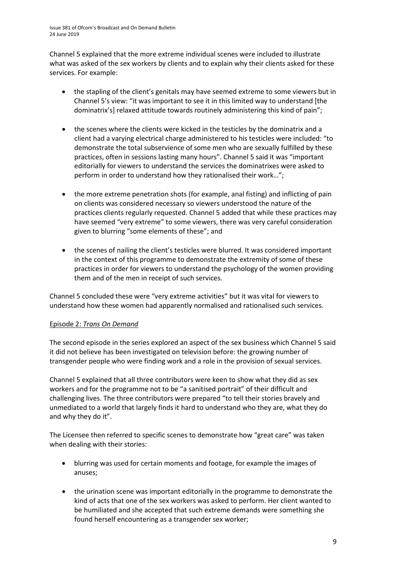Channel 5 explained that the more extreme individual scenes were included to illustrate what was asked of the sex workers by clients and to explain why their clients asked for these services. For example:

- the stapling of the client's genitals may have seemed extreme to some viewers but in Channel 5's view: "it was important to see it in this limited way to understand [the dominatrix's] relaxed attitude towards routinely administering this kind of pain";
- the scenes where the clients were kicked in the testicles by the dominatrix and a client had a varying electrical charge administered to his testicles were included: "to demonstrate the total subservience of some men who are sexually fulfilled by these practices, often in sessions lasting many hours". Channel 5 said it was "important editorially for viewers to understand the services the dominatrixes were asked to perform in order to understand how they rationalised their work…";
- the more extreme penetration shots (for example, anal fisting) and inflicting of pain on clients was considered necessary so viewers understood the nature of the practices clients regularly requested. Channel 5 added that while these practices may have seemed "very extreme" to some viewers, there was very careful consideration given to blurring "some elements of these"; and
- the scenes of nailing the client's testicles were blurred. It was considered important in the context of this programme to demonstrate the extremity of some of these practices in order for viewers to understand the psychology of the women providing them and of the men in receipt of such services.

Channel 5 concluded these were "very extreme activities" but it was vital for viewers to understand how these women had apparently normalised and rationalised such services.

### Episode 2: *Trans On Demand*

The second episode in the series explored an aspect of the sex business which Channel 5 said it did not believe has been investigated on television before: the growing number of transgender people who were finding work and a role in the provision of sexual services.

Channel 5 explained that all three contributors were keen to show what they did as sex workers and for the programme not to be "a sanitised portrait" of their difficult and challenging lives. The three contributors were prepared "to tell their stories bravely and unmediated to a world that largely finds it hard to understand who they are, what they do and why they do it".

The Licensee then referred to specific scenes to demonstrate how "great care" was taken when dealing with their stories:

- blurring was used for certain moments and footage, for example the images of anuses;
- the urination scene was important editorially in the programme to demonstrate the kind of acts that one of the sex workers was asked to perform. Her client wanted to be humiliated and she accepted that such extreme demands were something she found herself encountering as a transgender sex worker;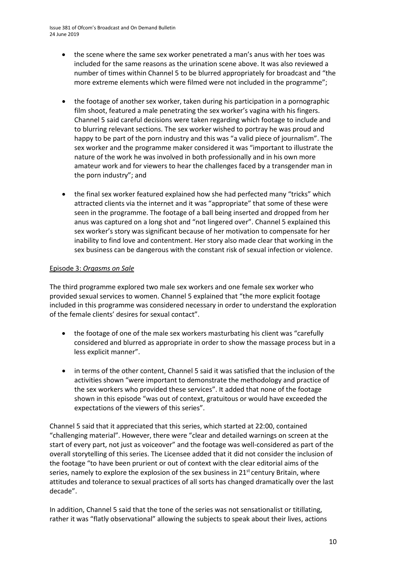- the scene where the same sex worker penetrated a man's anus with her toes was included for the same reasons as the urination scene above. It was also reviewed a number of times within Channel 5 to be blurred appropriately for broadcast and "the more extreme elements which were filmed were not included in the programme";
- the footage of another sex worker, taken during his participation in a pornographic film shoot, featured a male penetrating the sex worker's vagina with his fingers. Channel 5 said careful decisions were taken regarding which footage to include and to blurring relevant sections. The sex worker wished to portray he was proud and happy to be part of the porn industry and this was "a valid piece of journalism". The sex worker and the programme maker considered it was "important to illustrate the nature of the work he was involved in both professionally and in his own more amateur work and for viewers to hear the challenges faced by a transgender man in the porn industry"; and
- the final sex worker featured explained how she had perfected many "tricks" which attracted clients via the internet and it was "appropriate" that some of these were seen in the programme. The footage of a ball being inserted and dropped from her anus was captured on a long shot and "not lingered over". Channel 5 explained this sex worker's story was significant because of her motivation to compensate for her inability to find love and contentment. Her story also made clear that working in the sex business can be dangerous with the constant risk of sexual infection or violence.

### Episode 3: *Orgasms on Sale*

The third programme explored two male sex workers and one female sex worker who provided sexual services to women. Channel 5 explained that "the more explicit footage included in this programme was considered necessary in order to understand the exploration of the female clients' desires for sexual contact".

- the footage of one of the male sex workers masturbating his client was "carefully considered and blurred as appropriate in order to show the massage process but in a less explicit manner".
- in terms of the other content, Channel 5 said it was satisfied that the inclusion of the activities shown "were important to demonstrate the methodology and practice of the sex workers who provided these services". It added that none of the footage shown in this episode "was out of context, gratuitous or would have exceeded the expectations of the viewers of this series".

Channel 5 said that it appreciated that this series, which started at 22:00, contained "challenging material". However, there were "clear and detailed warnings on screen at the start of every part, not just as voiceover" and the footage was well-considered as part of the overall storytelling of this series. The Licensee added that it did not consider the inclusion of the footage "to have been prurient or out of context with the clear editorial aims of the series, namely to explore the explosion of the sex business in  $21<sup>st</sup>$  century Britain, where attitudes and tolerance to sexual practices of all sorts has changed dramatically over the last decade".

In addition, Channel 5 said that the tone of the series was not sensationalist or titillating, rather it was "flatly observational" allowing the subjects to speak about their lives, actions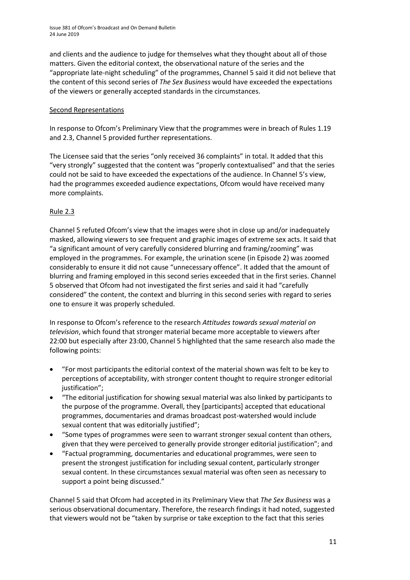and clients and the audience to judge for themselves what they thought about all of those matters. Given the editorial context, the observational nature of the series and the "appropriate late-night scheduling" of the programmes, Channel 5 said it did not believe that the content of this second series of *The Sex Business* would have exceeded the expectations of the viewers or generally accepted standards in the circumstances.

### Second Representations

In response to Ofcom's Preliminary View that the programmes were in breach of Rules 1.19 and 2.3, Channel 5 provided further representations.

The Licensee said that the series "only received 36 complaints" in total. It added that this "very strongly" suggested that the content was "properly contextualised" and that the series could not be said to have exceeded the expectations of the audience. In Channel 5's view, had the programmes exceeded audience expectations, Ofcom would have received many more complaints.

### Rule 2.3

Channel 5 refuted Ofcom's view that the images were shot in close up and/or inadequately masked, allowing viewers to see frequent and graphic images of extreme sex acts. It said that "a significant amount of very carefully considered blurring and framing/zooming" was employed in the programmes. For example, the urination scene (in Episode 2) was zoomed considerably to ensure it did not cause "unnecessary offence". It added that the amount of blurring and framing employed in this second series exceeded that in the first series. Channel 5 observed that Ofcom had not investigated the first series and said it had "carefully considered" the content, the context and blurring in this second series with regard to series one to ensure it was properly scheduled.

In response to Ofcom's reference to the research *Attitudes towards sexual material on television*, which found that stronger material became more acceptable to viewers after 22:00 but especially after 23:00, Channel 5 highlighted that the same research also made the following points:

- "For most participants the editorial context of the material shown was felt to be key to perceptions of acceptability, with stronger content thought to require stronger editorial justification";
- "The editorial justification for showing sexual material was also linked by participants to the purpose of the programme. Overall, they [participants] accepted that educational programmes, documentaries and dramas broadcast post-watershed would include sexual content that was editorially justified";
- "Some types of programmes were seen to warrant stronger sexual content than others, given that they were perceived to generally provide stronger editorial justification"; and
- "Factual programming, documentaries and educational programmes, were seen to present the strongest justification for including sexual content, particularly stronger sexual content. In these circumstances sexual material was often seen as necessary to support a point being discussed."

Channel 5 said that Ofcom had accepted in its Preliminary View that *The Sex Business* was a serious observational documentary. Therefore, the research findings it had noted, suggested that viewers would not be "taken by surprise or take exception to the fact that this series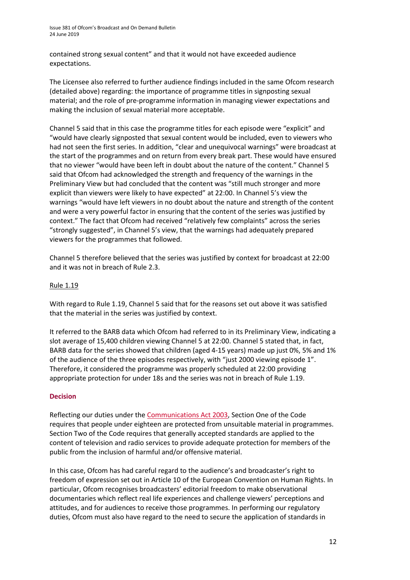contained strong sexual content" and that it would not have exceeded audience expectations.

The Licensee also referred to further audience findings included in the same Ofcom research (detailed above) regarding: the importance of programme titles in signposting sexual material; and the role of pre-programme information in managing viewer expectations and making the inclusion of sexual material more acceptable.

Channel 5 said that in this case the programme titles for each episode were "explicit" and "would have clearly signposted that sexual content would be included, even to viewers who had not seen the first series. In addition, "clear and unequivocal warnings" were broadcast at the start of the programmes and on return from every break part. These would have ensured that no viewer "would have been left in doubt about the nature of the content." Channel 5 said that Ofcom had acknowledged the strength and frequency of the warnings in the Preliminary View but had concluded that the content was "still much stronger and more explicit than viewers were likely to have expected" at 22:00. In Channel 5's view the warnings "would have left viewers in no doubt about the nature and strength of the content and were a very powerful factor in ensuring that the content of the series was justified by context." The fact that Ofcom had received "relatively few complaints" across the series "strongly suggested", in Channel 5's view, that the warnings had adequately prepared viewers for the programmes that followed.

Channel 5 therefore believed that the series was justified by context for broadcast at 22:00 and it was not in breach of Rule 2.3.

### Rule 1.19

With regard to Rule 1.19, Channel 5 said that for the reasons set out above it was satisfied that the material in the series was justified by context.

It referred to the BARB data which Ofcom had referred to in its Preliminary View, indicating a slot average of 15,400 children viewing Channel 5 at 22:00. Channel 5 stated that, in fact, BARB data for the series showed that children (aged 4-15 years) made up just 0%, 5% and 1% of the audience of the three episodes respectively, with "just 2000 viewing episode 1". Therefore, it considered the programme was properly scheduled at 22:00 providing appropriate protection for under 18s and the series was not in breach of Rule 1.19.

#### **Decision**

Reflecting our duties under th[e Communications Act 2003,](http://www.legislation.gov.uk/ukpga/2003/21/section/319) Section One of the Code requires that people under eighteen are protected from unsuitable material in programmes. Section Two of the Code requires that generally accepted standards are applied to the content of television and radio services to provide adequate protection for members of the public from the inclusion of harmful and/or offensive material.

In this case, Ofcom has had careful regard to the audience's and broadcaster's right to freedom of expression set out in Article 10 of the European Convention on Human Rights. In particular, Ofcom recognises broadcasters' editorial freedom to make observational documentaries which reflect real life experiences and challenge viewers' perceptions and attitudes, and for audiences to receive those programmes. In performing our regulatory duties, Ofcom must also have regard to the need to secure the application of standards in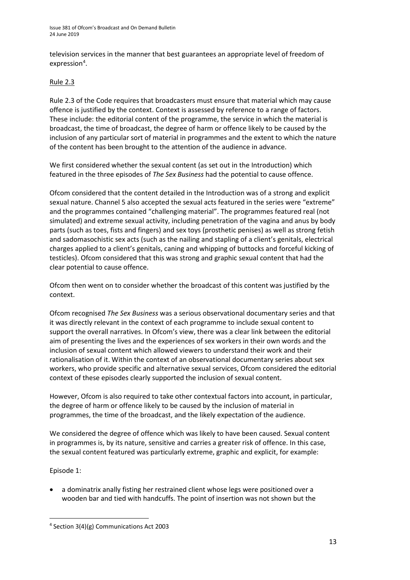television services in the manner that best guarantees an appropriate level of freedom of expression<sup>[4](#page-12-0)</sup>.

### Rule 2.3

Rule 2.3 of the Code requires that broadcasters must ensure that material which may cause offence is justified by the context. Context is assessed by reference to a range of factors. These include: the editorial content of the programme, the service in which the material is broadcast, the time of broadcast, the degree of harm or offence likely to be caused by the inclusion of any particular sort of material in programmes and the extent to which the nature of the content has been brought to the attention of the audience in advance.

We first considered whether the sexual content (as set out in the Introduction) which featured in the three episodes of *The Sex Business* had the potential to cause offence.

Ofcom considered that the content detailed in the Introduction was of a strong and explicit sexual nature. Channel 5 also accepted the sexual acts featured in the series were "extreme" and the programmes contained "challenging material". The programmes featured real (not simulated) and extreme sexual activity, including penetration of the vagina and anus by body parts (such as toes, fists and fingers) and sex toys (prosthetic penises) as well as strong fetish and sadomasochistic sex acts (such as the nailing and stapling of a client's genitals, electrical charges applied to a client's genitals, caning and whipping of buttocks and forceful kicking of testicles). Ofcom considered that this was strong and graphic sexual content that had the clear potential to cause offence.

Ofcom then went on to consider whether the broadcast of this content was justified by the context.

Ofcom recognised *The Sex Business* was a serious observational documentary series and that it was directly relevant in the context of each programme to include sexual content to support the overall narratives. In Ofcom's view, there was a clear link between the editorial aim of presenting the lives and the experiences of sex workers in their own words and the inclusion of sexual content which allowed viewers to understand their work and their rationalisation of it. Within the context of an observational documentary series about sex workers, who provide specific and alternative sexual services, Ofcom considered the editorial context of these episodes clearly supported the inclusion of sexual content.

However, Ofcom is also required to take other contextual factors into account, in particular, the degree of harm or offence likely to be caused by the inclusion of material in programmes, the time of the broadcast, and the likely expectation of the audience.

We considered the degree of offence which was likely to have been caused. Sexual content in programmes is, by its nature, sensitive and carries a greater risk of offence. In this case, the sexual content featured was particularly extreme, graphic and explicit, for example:

Episode 1:

• a dominatrix anally fisting her restrained client whose legs were positioned over a wooden bar and tied with handcuffs. The point of insertion was not shown but the

<span id="page-12-0"></span> <sup>4</sup> Section 3(4)(g) Communications Act 2003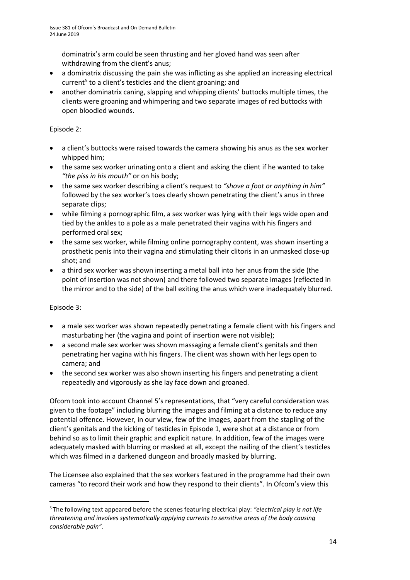dominatrix's arm could be seen thrusting and her gloved hand was seen after withdrawing from the client's anus;

- a dominatrix discussing the pain she was inflicting as she applied an increasing electrical current<sup>[5](#page-13-0)</sup> to a client's testicles and the client groaning; and
- another dominatrix caning, slapping and whipping clients' buttocks multiple times, the clients were groaning and whimpering and two separate images of red buttocks with open bloodied wounds.

### Episode 2:

- a client's buttocks were raised towards the camera showing his anus as the sex worker whipped him;
- the same sex worker urinating onto a client and asking the client if he wanted to take *"the piss in his mouth"* or on his body;
- the same sex worker describing a client's request to *"shove a foot or anything in him"* followed by the sex worker's toes clearly shown penetrating the client's anus in three separate clips;
- while filming a pornographic film, a sex worker was lying with their legs wide open and tied by the ankles to a pole as a male penetrated their vagina with his fingers and performed oral sex;
- the same sex worker, while filming online pornography content, was shown inserting a prosthetic penis into their vagina and stimulating their clitoris in an unmasked close-up shot; and
- a third sex worker was shown inserting a metal ball into her anus from the side (the point of insertion was not shown) and there followed two separate images (reflected in the mirror and to the side) of the ball exiting the anus which were inadequately blurred.

### Episode 3:

- a male sex worker was shown repeatedly penetrating a female client with his fingers and masturbating her (the vagina and point of insertion were not visible);
- a second male sex worker was shown massaging a female client's genitals and then penetrating her vagina with his fingers. The client was shown with her legs open to camera; and
- the second sex worker was also shown inserting his fingers and penetrating a client repeatedly and vigorously as she lay face down and groaned.

Ofcom took into account Channel 5's representations, that "very careful consideration was given to the footage" including blurring the images and filming at a distance to reduce any potential offence. However, in our view, few of the images, apart from the stapling of the client's genitals and the kicking of testicles in Episode 1, were shot at a distance or from behind so as to limit their graphic and explicit nature. In addition, few of the images were adequately masked with blurring or masked at all, except the nailing of the client's testicles which was filmed in a darkened dungeon and broadly masked by blurring.

The Licensee also explained that the sex workers featured in the programme had their own cameras "to record their work and how they respond to their clients". In Ofcom's view this

<span id="page-13-0"></span> <sup>5</sup> The following text appeared before the scenes featuring electrical play: *"electrical play is not life threatening and involves systematically applying currents to sensitive areas of the body causing considerable pain"*.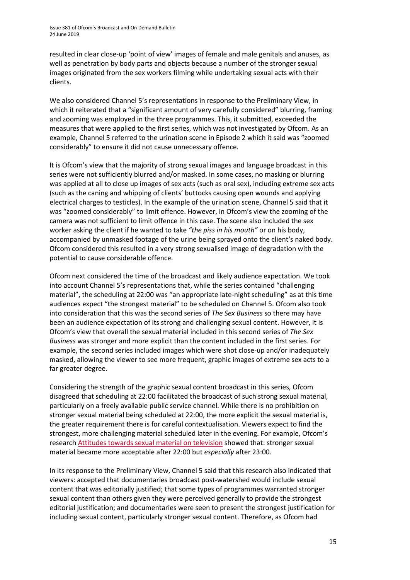resulted in clear close-up 'point of view' images of female and male genitals and anuses, as well as penetration by body parts and objects because a number of the stronger sexual images originated from the sex workers filming while undertaking sexual acts with their clients.

We also considered Channel 5's representations in response to the Preliminary View, in which it reiterated that a "significant amount of very carefully considered" blurring, framing and zooming was employed in the three programmes. This, it submitted, exceeded the measures that were applied to the first series, which was not investigated by Ofcom. As an example, Channel 5 referred to the urination scene in Episode 2 which it said was "zoomed considerably" to ensure it did not cause unnecessary offence.

It is Ofcom's view that the majority of strong sexual images and language broadcast in this series were not sufficiently blurred and/or masked. In some cases, no masking or blurring was applied at all to close up images of sex acts (such as oral sex), including extreme sex acts (such as the caning and whipping of clients' buttocks causing open wounds and applying electrical charges to testicles). In the example of the urination scene, Channel 5 said that it was "zoomed considerably" to limit offence. However, in Ofcom's view the zooming of the camera was not sufficient to limit offence in this case. The scene also included the sex worker asking the client if he wanted to take *"the piss in his mouth"* or on his body, accompanied by unmasked footage of the urine being sprayed onto the client's naked body. Ofcom considered this resulted in a very strong sexualised image of degradation with the potential to cause considerable offence.

Ofcom next considered the time of the broadcast and likely audience expectation. We took into account Channel 5's representations that, while the series contained "challenging material", the scheduling at 22:00 was "an appropriate late-night scheduling" as at this time audiences expect "the strongest material" to be scheduled on Channel 5. Ofcom also took into consideration that this was the second series of *The Sex Business* so there may have been an audience expectation of its strong and challenging sexual content. However, it is Ofcom's view that overall the sexual material included in this second series of *The Sex Business* was stronger and more explicit than the content included in the first series. For example, the second series included images which were shot close-up and/or inadequately masked, allowing the viewer to see more frequent, graphic images of extreme sex acts to a far greater degree.

Considering the strength of the graphic sexual content broadcast in this series, Ofcom disagreed that scheduling at 22:00 facilitated the broadcast of such strong sexual material, particularly on a freely available public service channel. While there is no prohibition on stronger sexual material being scheduled at 22:00, the more explicit the sexual material is, the greater requirement there is for careful contextualisation. Viewers expect to find the strongest, more challenging material scheduled later in the evening. For example, Ofcom's research [Attitudes towards sexual material on television](https://www.ofcom.org.uk/__data/assets/pdf_file/0023/32837/sextv.pdf) showed that: stronger sexual material became more acceptable after 22:00 but *especially* after 23:00.

In its response to the Preliminary View, Channel 5 said that this research also indicated that viewers: accepted that documentaries broadcast post-watershed would include sexual content that was editorially justified; that some types of programmes warranted stronger sexual content than others given they were perceived generally to provide the strongest editorial justification; and documentaries were seen to present the strongest justification for including sexual content, particularly stronger sexual content. Therefore, as Ofcom had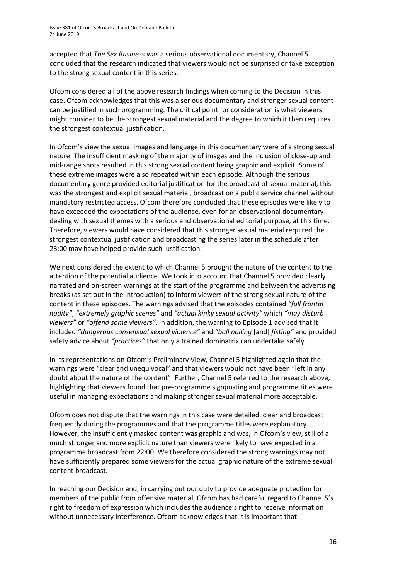accepted that *The Sex Business* was a serious observational documentary, Channel 5 concluded that the research indicated that viewers would not be surprised or take exception to the strong sexual content in this series.

Ofcom considered all of the above research findings when coming to the Decision in this case. Ofcom acknowledges that this was a serious documentary and stronger sexual content can be justified in such programming. The critical point for consideration is what viewers might consider to be the strongest sexual material and the degree to which it then requires the strongest contextual justification.

In Ofcom's view the sexual images and language in this documentary were of a strong sexual nature. The insufficient masking of the majority of images and the inclusion of close-up and mid-range shots resulted in this strong sexual content being graphic and explicit. Some of these extreme images were also repeated within each episode. Although the serious documentary genre provided editorial justification for the broadcast of sexual material, this was the strongest and explicit sexual material, broadcast on a public service channel without mandatory restricted access. Ofcom therefore concluded that these episodes were likely to have exceeded the expectations of the audience, even for an observational documentary dealing with sexual themes with a serious and observational editorial purpose, at this time. Therefore, viewers would have considered that this stronger sexual material required the strongest contextual justification and broadcasting the series later in the schedule after 23:00 may have helped provide such justification.

We next considered the extent to which Channel 5 brought the nature of the content to the attention of the potential audience. We took into account that Channel 5 provided clearly narrated and on-screen warnings at the start of the programme and between the advertising breaks (as set out in the Introduction) to inform viewers of the strong sexual nature of the content in these episodes. The warnings advised that the episodes contained *"full frontal nudity"*, *"extremely graphic scenes"* and *"actual kinky sexual activity"* which *"may disturb viewers"* or *"offend some viewers"*. In addition, the warning to Episode 1 advised that it included *"dangerous consensual sexual violence"* and *"ball nailing* [and] *fisting"* and provided safety advice about *"practices"* that only a trained dominatrix can undertake safely.

In its representations on Ofcom's Preliminary View, Channel 5 highlighted again that the warnings were "clear and unequivocal" and that viewers would not have been "left in any doubt about the nature of the content". Further, Channel 5 referred to the research above, highlighting that viewers found that pre-programme signposting and programme titles were useful in managing expectations and making stronger sexual material more acceptable.

Ofcom does not dispute that the warnings in this case were detailed, clear and broadcast frequently during the programmes and that the programme titles were explanatory. However, the insufficiently masked content was graphic and was, in Ofcom's view, still of a much stronger and more explicit nature than viewers were likely to have expected in a programme broadcast from 22:00. We therefore considered the strong warnings may not have sufficiently prepared some viewers for the actual graphic nature of the extreme sexual content broadcast.

In reaching our Decision and, in carrying out our duty to provide adequate protection for members of the public from offensive material, Ofcom has had careful regard to Channel 5's right to freedom of expression which includes the audience's right to receive information without unnecessary interference. Ofcom acknowledges that it is important that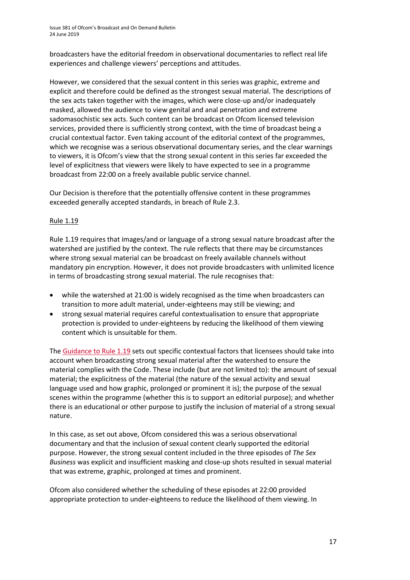broadcasters have the editorial freedom in observational documentaries to reflect real life experiences and challenge viewers' perceptions and attitudes.

However, we considered that the sexual content in this series was graphic, extreme and explicit and therefore could be defined as the strongest sexual material. The descriptions of the sex acts taken together with the images, which were close-up and/or inadequately masked, allowed the audience to view genital and anal penetration and extreme sadomasochistic sex acts. Such content can be broadcast on Ofcom licensed television services, provided there is sufficiently strong context, with the time of broadcast being a crucial contextual factor. Even taking account of the editorial context of the programmes, which we recognise was a serious observational documentary series, and the clear warnings to viewers, it is Ofcom's view that the strong sexual content in this series far exceeded the level of explicitness that viewers were likely to have expected to see in a programme broadcast from 22:00 on a freely available public service channel.

Our Decision is therefore that the potentially offensive content in these programmes exceeded generally accepted standards, in breach of Rule 2.3.

### Rule 1.19

Rule 1.19 requires that images/and or language of a strong sexual nature broadcast after the watershed are justified by the context. The rule reflects that there may be circumstances where strong sexual material can be broadcast on freely available channels without mandatory pin encryption. However, it does not provide broadcasters with unlimited licence in terms of broadcasting strong sexual material. The rule recognises that:

- while the watershed at 21:00 is widely recognised as the time when broadcasters can transition to more adult material, under-eighteens may still be viewing; and
- strong sexual material requires careful contextualisation to ensure that appropriate protection is provided to under-eighteens by reducing the likelihood of them viewing content which is unsuitable for them.

The [Guidance to Rule 1.19](https://www.ofcom.org.uk/__data/assets/pdf_file/0017/24704/section1.pdf) sets out specific contextual factors that licensees should take into account when broadcasting strong sexual material after the watershed to ensure the material complies with the Code. These include (but are not limited to): the amount of sexual material; the explicitness of the material (the nature of the sexual activity and sexual language used and how graphic, prolonged or prominent it is); the purpose of the sexual scenes within the programme (whether this is to support an editorial purpose); and whether there is an educational or other purpose to justify the inclusion of material of a strong sexual nature.

In this case, as set out above, Ofcom considered this was a serious observational documentary and that the inclusion of sexual content clearly supported the editorial purpose. However, the strong sexual content included in the three episodes of *The Sex Business* was explicit and insufficient masking and close-up shots resulted in sexual material that was extreme, graphic, prolonged at times and prominent.

Ofcom also considered whether the scheduling of these episodes at 22:00 provided appropriate protection to under-eighteens to reduce the likelihood of them viewing. In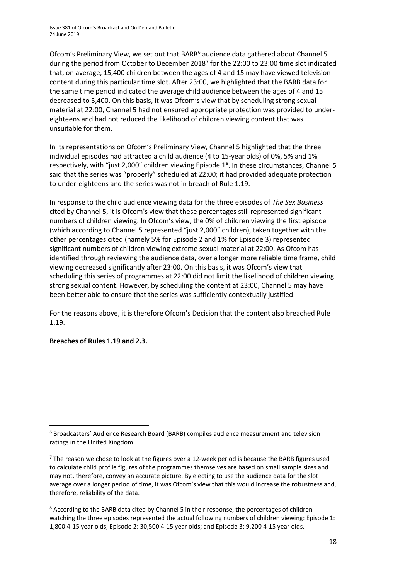Ofcom's Preliminary View, we set out that BARB<sup>[6](#page-17-0)</sup> audience data gathered about Channel 5 during the period from October to December 2018<sup>[7](#page-17-1)</sup> for the 22:00 to 23:00 time slot indicated that, on average, 15,400 children between the ages of 4 and 15 may have viewed television content during this particular time slot. After 23:00, we highlighted that the BARB data for the same time period indicated the average child audience between the ages of 4 and 15 decreased to 5,400. On this basis, it was Ofcom's view that by scheduling strong sexual material at 22:00, Channel 5 had not ensured appropriate protection was provided to undereighteens and had not reduced the likelihood of children viewing content that was unsuitable for them.

In its representations on Ofcom's Preliminary View, Channel 5 highlighted that the three individual episodes had attracted a child audience (4 to 15-year olds) of 0%, 5% and 1% respectively, with "just 2,000" children viewing Episode  $1<sup>8</sup>$  $1<sup>8</sup>$  $1<sup>8</sup>$ . In these circumstances, Channel 5 said that the series was "properly" scheduled at 22:00; it had provided adequate protection to under-eighteens and the series was not in breach of Rule 1.19.

In response to the child audience viewing data for the three episodes of *The Sex Business* cited by Channel 5, it is Ofcom's view that these percentages still represented significant numbers of children viewing. In Ofcom's view, the 0% of children viewing the first episode (which according to Channel 5 represented "just 2,000" children), taken together with the other percentages cited (namely 5% for Episode 2 and 1% for Episode 3) represented significant numbers of children viewing extreme sexual material at 22:00. As Ofcom has identified through reviewing the audience data, over a longer more reliable time frame, child viewing decreased significantly after 23:00. On this basis, it was Ofcom's view that scheduling this series of programmes at 22:00 did not limit the likelihood of children viewing strong sexual content. However, by scheduling the content at 23:00, Channel 5 may have been better able to ensure that the series was sufficiently contextually justified.

For the reasons above, it is therefore Ofcom's Decision that the content also breached Rule 1.19.

**Breaches of Rules 1.19 and 2.3.**

<span id="page-17-0"></span> $6$  Broadcasters' Audience Research Board (BARB) compiles audience measurement and television ratings in the United Kingdom.

<span id="page-17-1"></span> $7$  The reason we chose to look at the figures over a 12-week period is because the BARB figures used to calculate child profile figures of the programmes themselves are based on small sample sizes and may not, therefore, convey an accurate picture. By electing to use the audience data for the slot average over a longer period of time, it was Ofcom's view that this would increase the robustness and, therefore, reliability of the data.

<span id="page-17-2"></span><sup>&</sup>lt;sup>8</sup> According to the BARB data cited by Channel 5 in their response, the percentages of children watching the three episodes represented the actual following numbers of children viewing: Episode 1: 1,800 4-15 year olds; Episode 2: 30,500 4-15 year olds; and Episode 3: 9,200 4-15 year olds.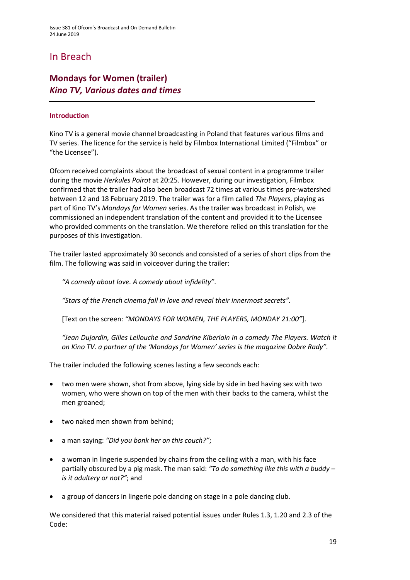### In Breach

### **Mondays for Women (trailer)** *Kino TV, Various dates and times*

### **Introduction**

Kino TV is a general movie channel broadcasting in Poland that features various films and TV series. The licence for the service is held by Filmbox International Limited ("Filmbox" or "the Licensee").

Ofcom received complaints about the broadcast of sexual content in a programme trailer during the movie *Herkules Poirot* at 20:25. However, during our investigation, Filmbox confirmed that the trailer had also been broadcast 72 times at various times pre-watershed between 12 and 18 February 2019. The trailer was for a film called *The Players*, playing as part of Kino TV's *Mondays for Women* series. As the trailer was broadcast in Polish, we commissioned an independent translation of the content and provided it to the Licensee who provided comments on the translation. We therefore relied on this translation for the purposes of this investigation.

The trailer lasted approximately 30 seconds and consisted of a series of short clips from the film. The following was said in voiceover during the trailer:

*"A comedy about love. A comedy about infidelity"*.

*"Stars of the French cinema fall in love and reveal their innermost secrets".*

[Text on the screen: *"MONDAYS FOR WOMEN, THE PLAYERS, MONDAY 21:00"*].

*"Jean Dujardin, Gilles Lellouche and Sandrine Kiberlain in a comedy The Players. Watch it on Kino TV. a partner of the 'Mondays for Women' series is the magazine Dobre Rady".*

The trailer included the following scenes lasting a few seconds each:

- two men were shown, shot from above, lying side by side in bed having sex with two women, who were shown on top of the men with their backs to the camera, whilst the men groaned;
- two naked men shown from behind;
- a man saying: *"Did you bonk her on this couch?"*;
- a woman in lingerie suspended by chains from the ceiling with a man, with his face partially obscured by a pig mask. The man said: *"To do something like this with a buddy – is it adultery or not?"*; and
- a group of dancers in lingerie pole dancing on stage in a pole dancing club.

We considered that this material raised potential issues under Rules 1.3, 1.20 and 2.3 of the Code: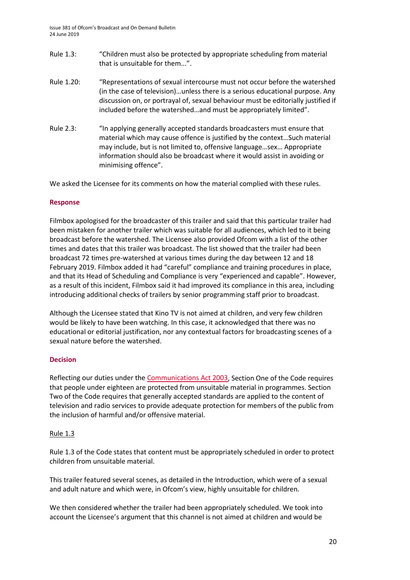- Rule 1.3: "Children must also be protected by appropriate scheduling from material that is unsuitable for them...".
- Rule 1.20: "Representations of sexual intercourse must not occur before the watershed (in the case of television)…unless there is a serious educational purpose. Any discussion on, or portrayal of, sexual behaviour must be editorially justified if included before the watershed…and must be appropriately limited".
- Rule 2.3: "In applying generally accepted standards broadcasters must ensure that material which may cause offence is justified by the context…Such material may include, but is not limited to, offensive language…sex… Appropriate information should also be broadcast where it would assist in avoiding or minimising offence".

We asked the Licensee for its comments on how the material complied with these rules.

### **Response**

Filmbox apologised for the broadcaster of this trailer and said that this particular trailer had been mistaken for another trailer which was suitable for all audiences, which led to it being broadcast before the watershed. The Licensee also provided Ofcom with a list of the other times and dates that this trailer was broadcast. The list showed that the trailer had been broadcast 72 times pre-watershed at various times during the day between 12 and 18 February 2019. Filmbox added it had "careful" compliance and training procedures in place, and that its Head of Scheduling and Compliance is very "experienced and capable". However, as a result of this incident, Filmbox said it had improved its compliance in this area, including introducing additional checks of trailers by senior programming staff prior to broadcast.

Although the Licensee stated that Kino TV is not aimed at children, and very few children would be likely to have been watching. In this case, it acknowledged that there was no educational or editorial justification, nor any contextual factors for broadcasting scenes of a sexual nature before the watershed.

#### **Decision**

Reflecting our duties under th[e Communications Act 2003,](http://www.legislation.gov.uk/ukpga/2003/21/section/319) Section One of the Code requires that people under eighteen are protected from unsuitable material in programmes. Section Two of the Code requires that generally accepted standards are applied to the content of television and radio services to provide adequate protection for members of the public from the inclusion of harmful and/or offensive material.

#### Rule 1.3

Rule 1.3 of the Code states that content must be appropriately scheduled in order to protect children from unsuitable material.

This trailer featured several scenes, as detailed in the Introduction, which were of a sexual and adult nature and which were, in Ofcom's view, highly unsuitable for children.

We then considered whether the trailer had been appropriately scheduled. We took into account the Licensee's argument that this channel is not aimed at children and would be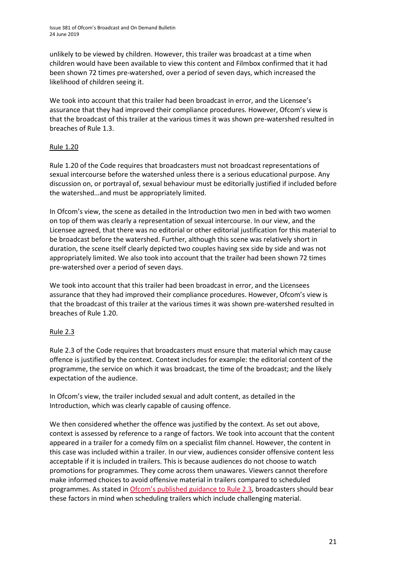unlikely to be viewed by children. However, this trailer was broadcast at a time when children would have been available to view this content and Filmbox confirmed that it had been shown 72 times pre-watershed, over a period of seven days, which increased the likelihood of children seeing it.

We took into account that this trailer had been broadcast in error, and the Licensee's assurance that they had improved their compliance procedures. However, Ofcom's view is that the broadcast of this trailer at the various times it was shown pre-watershed resulted in breaches of Rule 1.3.

### Rule 1.20

Rule 1.20 of the Code requires that broadcasters must not broadcast representations of sexual intercourse before the watershed unless there is a serious educational purpose. Any discussion on, or portrayal of, sexual behaviour must be editorially justified if included before the watershed…and must be appropriately limited.

In Ofcom's view, the scene as detailed in the Introduction two men in bed with two women on top of them was clearly a representation of sexual intercourse. In our view, and the Licensee agreed, that there was no editorial or other editorial justification for this material to be broadcast before the watershed. Further, although this scene was relatively short in duration, the scene itself clearly depicted two couples having sex side by side and was not appropriately limited. We also took into account that the trailer had been shown 72 times pre-watershed over a period of seven days.

We took into account that this trailer had been broadcast in error, and the Licensees assurance that they had improved their compliance procedures. However, Ofcom's view is that the broadcast of this trailer at the various times it was shown pre-watershed resulted in breaches of Rule 1.20.

### Rule 2.3

Rule 2.3 of the Code requires that broadcasters must ensure that material which may cause offence is justified by the context. Context includes for example: the editorial content of the programme, the service on which it was broadcast, the time of the broadcast; and the likely expectation of the audience.

In Ofcom's view, the trailer included sexual and adult content, as detailed in the Introduction, which was clearly capable of causing offence.

We then considered whether the offence was justified by the context. As set out above, context is assessed by reference to a range of factors. We took into account that the content appeared in a trailer for a comedy film on a specialist film channel. However, the content in this case was included within a trailer. In our view, audiences consider offensive content less acceptable if it is included in trailers. This is because audiences do not choose to watch promotions for programmes. They come across them unawares. Viewers cannot therefore make informed choices to avoid offensive material in trailers compared to scheduled programmes. As stated in [Ofcom's published guidance to Rule 2.3,](https://www.ofcom.org.uk/__data/assets/pdf_file/0023/104657/Section-2-Guidance-Notes.pdf) broadcasters should bear these factors in mind when scheduling trailers which include challenging material.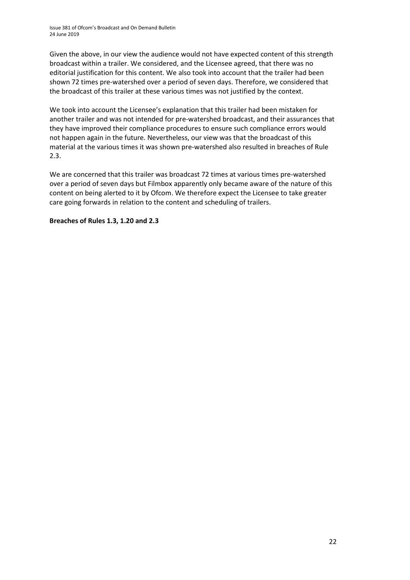Given the above, in our view the audience would not have expected content of this strength broadcast within a trailer. We considered, and the Licensee agreed, that there was no editorial justification for this content. We also took into account that the trailer had been shown 72 times pre-watershed over a period of seven days. Therefore, we considered that the broadcast of this trailer at these various times was not justified by the context.

We took into account the Licensee's explanation that this trailer had been mistaken for another trailer and was not intended for pre-watershed broadcast, and their assurances that they have improved their compliance procedures to ensure such compliance errors would not happen again in the future. Nevertheless, our view was that the broadcast of this material at the various times it was shown pre-watershed also resulted in breaches of Rule 2.3.

We are concerned that this trailer was broadcast 72 times at various times pre-watershed over a period of seven days but Filmbox apparently only became aware of the nature of this content on being alerted to it by Ofcom. We therefore expect the Licensee to take greater care going forwards in relation to the content and scheduling of trailers.

**Breaches of Rules 1.3, 1.20 and 2.3**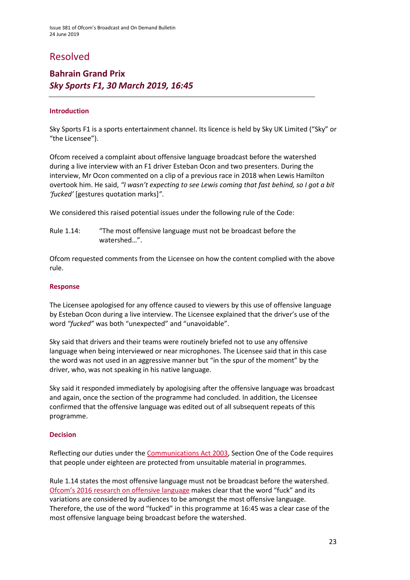### Resolved

### **Bahrain Grand Prix** *Sky Sports F1, 30 March 2019, 16:45*

### **Introduction**

Sky Sports F1 is a sports entertainment channel. Its licence is held by Sky UK Limited ("Sky" or "the Licensee").

Ofcom received a complaint about offensive language broadcast before the watershed during a live interview with an F1 driver Esteban Ocon and two presenters. During the interview, Mr Ocon commented on a clip of a previous race in 2018 when Lewis Hamilton overtook him. He said, *"I wasn't expecting to see Lewis coming that fast behind, so I got a bit 'fucked'* [gestures quotation marks]*"*.

We considered this raised potential issues under the following rule of the Code:

Rule 1.14: "The most offensive language must not be broadcast before the watershed…".

Ofcom requested comments from the Licensee on how the content complied with the above rule.

### **Response**

The Licensee apologised for any offence caused to viewers by this use of offensive language by Esteban Ocon during a live interview. The Licensee explained that the driver's use of the word *"fucked"* was both "unexpected" and "unavoidable".

Sky said that drivers and their teams were routinely briefed not to use any offensive language when being interviewed or near microphones. The Licensee said that in this case the word was not used in an aggressive manner but "in the spur of the moment" by the driver, who, was not speaking in his native language.

Sky said it responded immediately by apologising after the offensive language was broadcast and again, once the section of the programme had concluded. In addition, the Licensee confirmed that the offensive language was edited out of all subsequent repeats of this programme.

### **Decision**

Reflecting our duties under th[e Communications Act 2003,](http://www.legislation.gov.uk/ukpga/2003/21/section/319) Section One of the Code requires that people under eighteen are protected from unsuitable material in programmes.

Rule 1.14 states the most offensive language must not be broadcast before the watershed. [Ofcom's 2016 research on offensive language](https://www.ofcom.org.uk/__data/assets/pdf_file/0022/91624/OfcomOffensiveLanguage.pdf) makes clear that the word "fuck" and its variations are considered by audiences to be amongst the most offensive language. Therefore, the use of the word "fucked" in this programme at 16:45 was a clear case of the most offensive language being broadcast before the watershed.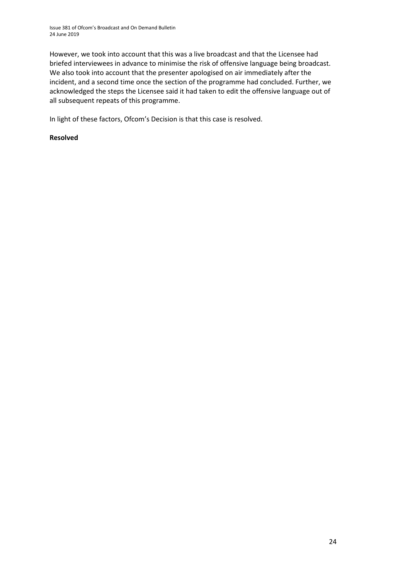However, we took into account that this was a live broadcast and that the Licensee had briefed interviewees in advance to minimise the risk of offensive language being broadcast. We also took into account that the presenter apologised on air immediately after the incident, and a second time once the section of the programme had concluded. Further, we acknowledged the steps the Licensee said it had taken to edit the offensive language out of all subsequent repeats of this programme.

In light of these factors, Ofcom's Decision is that this case is resolved.

### **Resolved**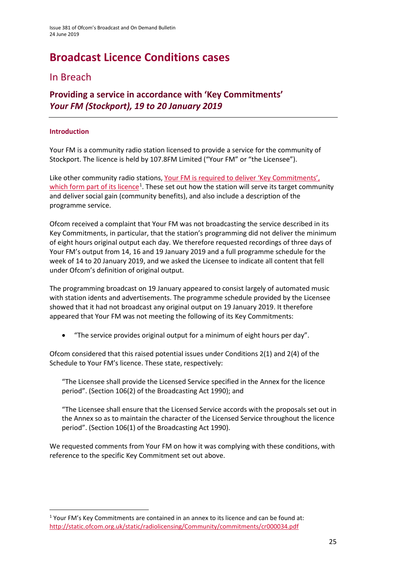# **Broadcast Licence Conditions cases**

### In Breach

**Providing a service in accordance with 'Key Commitments'** *Your FM (Stockport), 19 to 20 January 2019*

### **Introduction**

Your FM is a community radio station licensed to provide a service for the community of Stockport. The licence is held by 107.8FM Limited ("Your FM" or "the Licensee").

Like other community radio stations[, Your FM is required to deliver 'Key Commitments',](http://static.ofcom.org.uk/static/radiolicensing/Community/commitments/cr000034.pdf)  [which form part of its licence](http://static.ofcom.org.uk/static/radiolicensing/Community/commitments/cr000034.pdf)<sup>[1](#page-24-0)</sup>. These set out how the station will serve its target community and deliver social gain (community benefits), and also include a description of the programme service.

Ofcom received a complaint that Your FM was not broadcasting the service described in its Key Commitments, in particular, that the station's programming did not deliver the minimum of eight hours original output each day. We therefore requested recordings of three days of Your FM's output from 14, 16 and 19 January 2019 and a full programme schedule for the week of 14 to 20 January 2019, and we asked the Licensee to indicate all content that fell under Ofcom's definition of original output.

The programming broadcast on 19 January appeared to consist largely of automated music with station idents and advertisements. The programme schedule provided by the Licensee showed that it had not broadcast any original output on 19 January 2019. It therefore appeared that Your FM was not meeting the following of its Key Commitments:

• "The service provides original output for a minimum of eight hours per day".

Ofcom considered that this raised potential issues under Conditions 2(1) and 2(4) of the Schedule to Your FM's licence. These state, respectively:

"The Licensee shall provide the Licensed Service specified in the Annex for the licence period". (Section 106(2) of the Broadcasting Act 1990); and

"The Licensee shall ensure that the Licensed Service accords with the proposals set out in the Annex so as to maintain the character of the Licensed Service throughout the licence period". (Section 106(1) of the Broadcasting Act 1990).

We requested comments from Your FM on how it was complying with these conditions, with reference to the specific Key Commitment set out above.

<span id="page-24-0"></span><sup>&</sup>lt;sup>1</sup> Your FM's Key Commitments are contained in an annex to its licence and can be found at: <http://static.ofcom.org.uk/static/radiolicensing/Community/commitments/cr000034.pdf>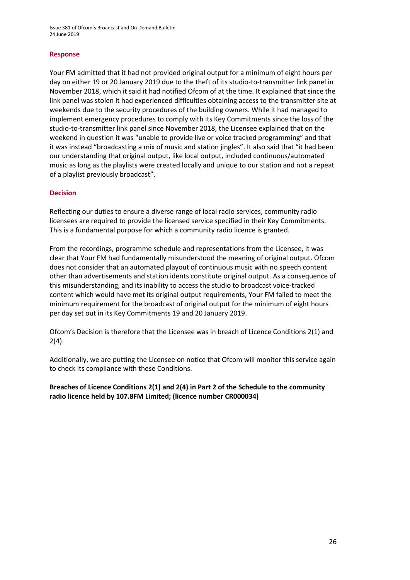#### **Response**

Your FM admitted that it had not provided original output for a minimum of eight hours per day on either 19 or 20 January 2019 due to the theft of its studio-to-transmitter link panel in November 2018, which it said it had notified Ofcom of at the time. It explained that since the link panel was stolen it had experienced difficulties obtaining access to the transmitter site at weekends due to the security procedures of the building owners. While it had managed to implement emergency procedures to comply with its Key Commitments since the loss of the studio-to-transmitter link panel since November 2018, the Licensee explained that on the weekend in question it was "unable to provide live or voice tracked programming" and that it was instead "broadcasting a mix of music and station jingles". It also said that "it had been our understanding that original output, like local output, included continuous/automated music as long as the playlists were created locally and unique to our station and not a repeat of a playlist previously broadcast".

### **Decision**

Reflecting our duties to ensure a diverse range of local radio services, community radio licensees are required to provide the licensed service specified in their Key Commitments. This is a fundamental purpose for which a community radio licence is granted.

From the recordings, programme schedule and representations from the Licensee, it was clear that Your FM had fundamentally misunderstood the meaning of original output. Ofcom does not consider that an automated playout of continuous music with no speech content other than advertisements and station idents constitute original output. As a consequence of this misunderstanding, and its inability to access the studio to broadcast voice-tracked content which would have met its original output requirements, Your FM failed to meet the minimum requirement for the broadcast of original output for the minimum of eight hours per day set out in its Key Commitments 19 and 20 January 2019.

Ofcom's Decision is therefore that the Licensee was in breach of Licence Conditions 2(1) and  $2(4)$ .

Additionally, we are putting the Licensee on notice that Ofcom will monitor this service again to check its compliance with these Conditions.

**Breaches of Licence Conditions 2(1) and 2(4) in Part 2 of the Schedule to the community radio licence held by 107.8FM Limited; (licence number CR000034)**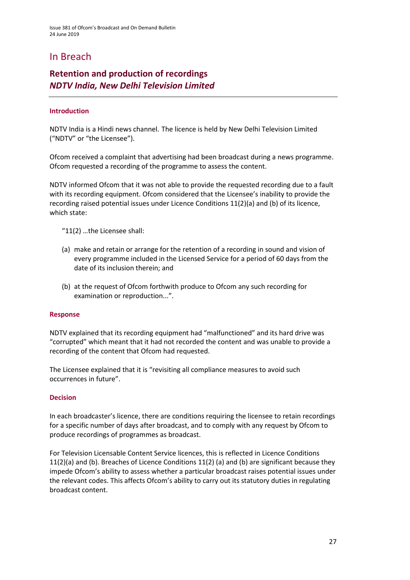### In Breach

### **Retention and production of recordings** *NDTV India, New Delhi Television Limited*

### **Introduction**

NDTV India is a Hindi news channel. The licence is held by New Delhi Television Limited ("NDTV" or "the Licensee").

Ofcom received a complaint that advertising had been broadcast during a news programme. Ofcom requested a recording of the programme to assess the content.

NDTV informed Ofcom that it was not able to provide the requested recording due to a fault with its recording equipment. Ofcom considered that the Licensee's inability to provide the recording raised potential issues under Licence Conditions 11(2)(a) and (b) of its licence, which state:

"11(2) …the Licensee shall:

- (a) make and retain or arrange for the retention of a recording in sound and vision of every programme included in the Licensed Service for a period of 60 days from the date of its inclusion therein; and
- (b) at the request of Ofcom forthwith produce to Ofcom any such recording for examination or reproduction...".

#### **Response**

NDTV explained that its recording equipment had "malfunctioned" and its hard drive was "corrupted" which meant that it had not recorded the content and was unable to provide a recording of the content that Ofcom had requested.

The Licensee explained that it is "revisiting all compliance measures to avoid such occurrences in future".

#### **Decision**

In each broadcaster's licence, there are conditions requiring the licensee to retain recordings for a specific number of days after broadcast, and to comply with any request by Ofcom to produce recordings of programmes as broadcast.

For Television Licensable Content Service licences, this is reflected in Licence Conditions 11(2)(a) and (b). Breaches of Licence Conditions 11(2) (a) and (b) are significant because they impede Ofcom's ability to assess whether a particular broadcast raises potential issues under the relevant codes. This affects Ofcom's ability to carry out its statutory duties in regulating broadcast content.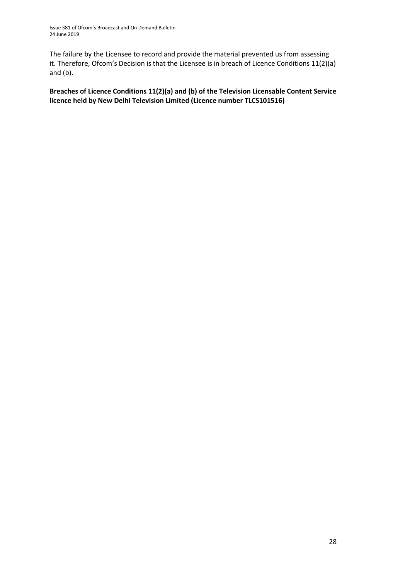The failure by the Licensee to record and provide the material prevented us from assessing it. Therefore, Ofcom's Decision is that the Licensee is in breach of Licence Conditions 11(2)(a) and (b).

### **Breaches of Licence Conditions 11(2)(a) and (b) of the Television Licensable Content Service licence held by New Delhi Television Limited (Licence number TLCS101516)**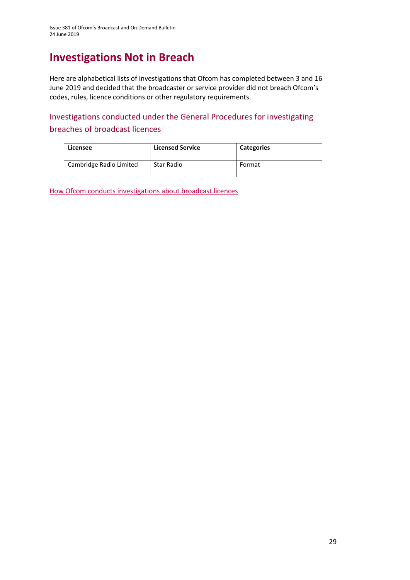## **Investigations Not in Breach**

Here are alphabetical lists of investigations that Ofcom has completed between 3 and 16 June 2019 and decided that the broadcaster or service provider did not breach Ofcom's codes, rules, licence conditions or other regulatory requirements.

Investigations conducted under the General Procedures for investigating breaches of broadcast licences

| Licensee                | <b>Licensed Service</b> | <b>Categories</b> |
|-------------------------|-------------------------|-------------------|
| Cambridge Radio Limited | Star Radio              | Format            |

[How Ofcom conducts investigations about broadcast licences](https://www.ofcom.org.uk/__data/assets/pdf_file/0019/31942/general-procedures.pdf)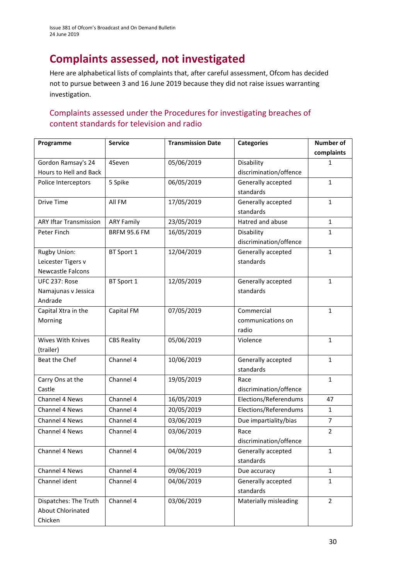# **Complaints assessed, not investigated**

Here are alphabetical lists of complaints that, after careful assessment, Ofcom has decided not to pursue between 3 and 16 June 2019 because they did not raise issues warranting investigation.

### Complaints assessed under the Procedures for investigating breaches of content standards for television and radio

| Programme                     | <b>Service</b>      | <b>Transmission Date</b> | <b>Categories</b>      | <b>Number of</b> |
|-------------------------------|---------------------|--------------------------|------------------------|------------------|
|                               |                     |                          |                        | complaints       |
| Gordon Ramsay's 24            | 4Seven              | 05/06/2019               | Disability             | 1                |
| Hours to Hell and Back        |                     |                          | discrimination/offence |                  |
| Police Interceptors           | 5 Spike             | 06/05/2019               | Generally accepted     | $\mathbf{1}$     |
|                               |                     |                          | standards              |                  |
| <b>Drive Time</b>             | All FM              | 17/05/2019               | Generally accepted     | $\mathbf{1}$     |
|                               |                     |                          | standards              |                  |
| <b>ARY Iftar Transmission</b> | <b>ARY Family</b>   | 23/05/2019               | Hatred and abuse       | $\mathbf{1}$     |
| Peter Finch                   | <b>BRFM 95.6 FM</b> | 16/05/2019               | Disability             | 1                |
|                               |                     |                          | discrimination/offence |                  |
| Rugby Union:                  | BT Sport 1          | 12/04/2019               | Generally accepted     | $\mathbf{1}$     |
| Leicester Tigers v            |                     |                          | standards              |                  |
| <b>Newcastle Falcons</b>      |                     |                          |                        |                  |
| UFC 237: Rose                 | BT Sport 1          | 12/05/2019               | Generally accepted     | $\mathbf{1}$     |
| Namajunas v Jessica           |                     |                          | standards              |                  |
| Andrade                       |                     |                          |                        |                  |
| Capital Xtra in the           | Capital FM          | 07/05/2019               | Commercial             | $\mathbf{1}$     |
| Morning                       |                     |                          | communications on      |                  |
|                               |                     |                          | radio                  |                  |
| Wives With Knives             | <b>CBS Reality</b>  | 05/06/2019               | Violence               | $\mathbf{1}$     |
| (trailer)                     |                     |                          |                        |                  |
| Beat the Chef                 | Channel 4           | 10/06/2019               | Generally accepted     | $\mathbf{1}$     |
|                               |                     |                          | standards              |                  |
| Carry Ons at the              | Channel 4           | 19/05/2019               | Race                   | $\mathbf{1}$     |
| Castle                        |                     |                          | discrimination/offence |                  |
| Channel 4 News                | Channel 4           | 16/05/2019               | Elections/Referendums  | 47               |
| Channel 4 News                | Channel 4           | 20/05/2019               | Elections/Referendums  | $\mathbf{1}$     |
| Channel 4 News                | Channel 4           | 03/06/2019               | Due impartiality/bias  | $\overline{7}$   |
| Channel 4 News                | Channel 4           | 03/06/2019               | Race                   | $\overline{2}$   |
|                               |                     |                          | discrimination/offence |                  |
| Channel 4 News                | Channel 4           | 04/06/2019               | Generally accepted     | 1                |
|                               |                     |                          | standards              |                  |
| Channel 4 News                | Channel 4           | 09/06/2019               | Due accuracy           | $\mathbf{1}$     |
| Channel ident                 | Channel 4           | 04/06/2019               | Generally accepted     | $\mathbf{1}$     |
|                               |                     |                          | standards              |                  |
| Dispatches: The Truth         | Channel 4           | 03/06/2019               | Materially misleading  | $\overline{2}$   |
| About Chlorinated             |                     |                          |                        |                  |
| Chicken                       |                     |                          |                        |                  |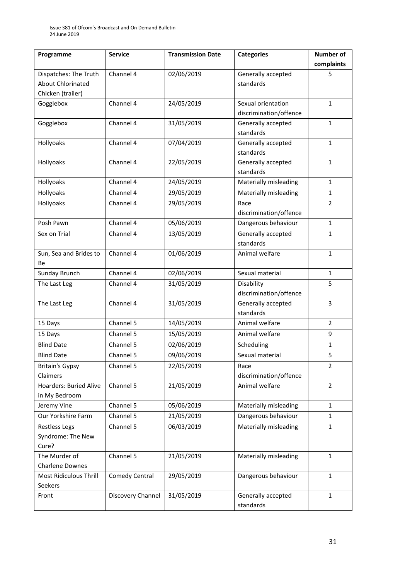| Programme                     | <b>Service</b>    | <b>Transmission Date</b> | <b>Categories</b>      | Number of      |
|-------------------------------|-------------------|--------------------------|------------------------|----------------|
|                               |                   |                          |                        | complaints     |
| Dispatches: The Truth         | Channel 4         | 02/06/2019               | Generally accepted     | 5              |
| <b>About Chlorinated</b>      |                   |                          | standards              |                |
| Chicken (trailer)             |                   |                          |                        |                |
| Gogglebox                     | Channel 4         | 24/05/2019               | Sexual orientation     | $\mathbf{1}$   |
|                               |                   |                          | discrimination/offence |                |
| Gogglebox                     | Channel 4         | 31/05/2019               | Generally accepted     | $\mathbf{1}$   |
|                               |                   |                          | standards              |                |
| Hollyoaks                     | Channel 4         | 07/04/2019               | Generally accepted     | $\mathbf{1}$   |
|                               |                   |                          | standards              |                |
| Hollyoaks                     | Channel 4         | 22/05/2019               | Generally accepted     | $\mathbf{1}$   |
|                               |                   |                          | standards              |                |
| Hollyoaks                     | Channel 4         | 24/05/2019               | Materially misleading  | $\mathbf{1}$   |
| Hollyoaks                     | Channel 4         | 29/05/2019               | Materially misleading  | $\mathbf{1}$   |
| Hollyoaks                     | Channel 4         | 29/05/2019               | Race                   | $\overline{2}$ |
|                               |                   |                          | discrimination/offence |                |
| Posh Pawn                     | Channel 4         | 05/06/2019               | Dangerous behaviour    | 1              |
| Sex on Trial                  | Channel 4         | 13/05/2019               | Generally accepted     | $\mathbf{1}$   |
|                               |                   |                          | standards              |                |
| Sun, Sea and Brides to        | Channel 4         | 01/06/2019               | Animal welfare         | $\mathbf{1}$   |
| Вe                            |                   |                          |                        |                |
| Sunday Brunch                 | Channel 4         | 02/06/2019               | Sexual material        | $\mathbf{1}$   |
| The Last Leg                  | Channel 4         | 31/05/2019               | Disability             | 5              |
|                               |                   |                          | discrimination/offence |                |
| The Last Leg                  | Channel 4         | 31/05/2019               | Generally accepted     | 3              |
|                               |                   |                          | standards              |                |
| 15 Days                       | Channel 5         | 14/05/2019               | Animal welfare         | $\overline{2}$ |
| 15 Days                       | Channel 5         | 15/05/2019               | Animal welfare         | 9              |
| <b>Blind Date</b>             | Channel 5         | 02/06/2019               | Scheduling             | $\mathbf{1}$   |
| <b>Blind Date</b>             | Channel 5         | 09/06/2019               | Sexual material        | 5              |
| <b>Britain's Gypsy</b>        | Channel 5         | 22/05/2019               | Race                   | $\overline{2}$ |
| Claimers                      |                   |                          | discrimination/offence |                |
| <b>Hoarders: Buried Alive</b> | Channel 5         | 21/05/2019               | Animal welfare         | $\overline{2}$ |
| in My Bedroom                 |                   |                          |                        |                |
| Jeremy Vine                   | Channel 5         | 05/06/2019               | Materially misleading  | 1              |
| Our Yorkshire Farm            | Channel 5         | 21/05/2019               | Dangerous behaviour    | $\mathbf{1}$   |
| <b>Restless Legs</b>          | Channel 5         | 06/03/2019               | Materially misleading  | $\mathbf{1}$   |
| Syndrome: The New             |                   |                          |                        |                |
| Cure?                         |                   |                          |                        |                |
| The Murder of                 | Channel 5         | 21/05/2019               | Materially misleading  | $\mathbf{1}$   |
| Charlene Downes               |                   |                          |                        |                |
| <b>Most Ridiculous Thrill</b> | Comedy Central    | 29/05/2019               | Dangerous behaviour    | $\mathbf{1}$   |
| Seekers                       |                   |                          |                        |                |
| Front                         | Discovery Channel | 31/05/2019               | Generally accepted     | $\mathbf{1}$   |
|                               |                   |                          | standards              |                |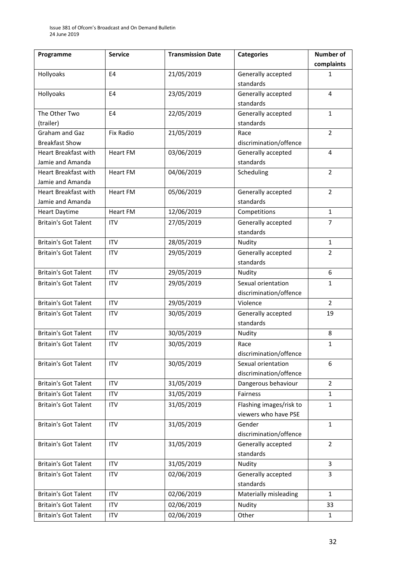| Programme                   | <b>Service</b>   | <b>Transmission Date</b> | <b>Categories</b>       | <b>Number of</b> |
|-----------------------------|------------------|--------------------------|-------------------------|------------------|
|                             |                  |                          |                         | complaints       |
| Hollyoaks                   | E4               | 21/05/2019               | Generally accepted      | $\mathbf{1}$     |
|                             |                  |                          | standards               |                  |
| Hollyoaks                   | E4               | 23/05/2019               | Generally accepted      | $\overline{4}$   |
|                             |                  |                          | standards               |                  |
| The Other Two               | E4               | 22/05/2019               | Generally accepted      | $\mathbf{1}$     |
| (trailer)                   |                  |                          | standards               |                  |
| <b>Graham and Gaz</b>       | <b>Fix Radio</b> | 21/05/2019               | Race                    | $\overline{2}$   |
| <b>Breakfast Show</b>       |                  |                          | discrimination/offence  |                  |
| Heart Breakfast with        | <b>Heart FM</b>  | 03/06/2019               | Generally accepted      | 4                |
| Jamie and Amanda            |                  |                          | standards               |                  |
| <b>Heart Breakfast with</b> | <b>Heart FM</b>  | 04/06/2019               | Scheduling              | $\overline{2}$   |
| Jamie and Amanda            |                  |                          |                         |                  |
| Heart Breakfast with        | <b>Heart FM</b>  | 05/06/2019               | Generally accepted      | $\overline{2}$   |
| Jamie and Amanda            |                  |                          | standards               |                  |
| <b>Heart Daytime</b>        | <b>Heart FM</b>  | 12/06/2019               | Competitions            | $\mathbf{1}$     |
| <b>Britain's Got Talent</b> | <b>ITV</b>       | 27/05/2019               | Generally accepted      | $\overline{7}$   |
|                             |                  |                          | standards               |                  |
| <b>Britain's Got Talent</b> | <b>ITV</b>       | 28/05/2019               | Nudity                  | $\mathbf{1}$     |
| <b>Britain's Got Talent</b> | <b>ITV</b>       | 29/05/2019               | Generally accepted      | $\overline{2}$   |
|                             |                  |                          | standards               |                  |
| <b>Britain's Got Talent</b> | <b>ITV</b>       | 29/05/2019               | Nudity                  | 6                |
| <b>Britain's Got Talent</b> | <b>ITV</b>       | 29/05/2019               | Sexual orientation      | $\mathbf{1}$     |
|                             |                  |                          | discrimination/offence  |                  |
| <b>Britain's Got Talent</b> | <b>ITV</b>       | 29/05/2019               | Violence                | $\overline{2}$   |
| <b>Britain's Got Talent</b> | <b>ITV</b>       | 30/05/2019               | Generally accepted      | 19               |
|                             |                  |                          | standards               |                  |
| <b>Britain's Got Talent</b> | <b>ITV</b>       | 30/05/2019               | Nudity                  | 8                |
| <b>Britain's Got Talent</b> | <b>ITV</b>       | 30/05/2019               | Race                    | $\mathbf{1}$     |
|                             |                  |                          | discrimination/offence  |                  |
| <b>Britain's Got Talent</b> | <b>ITV</b>       | 30/05/2019               | Sexual orientation      | 6                |
|                             |                  |                          | discrimination/offence  |                  |
| <b>Britain's Got Talent</b> | <b>ITV</b>       | 31/05/2019               | Dangerous behaviour     | $\overline{2}$   |
| <b>Britain's Got Talent</b> | <b>ITV</b>       | 31/05/2019               | Fairness                | $\mathbf{1}$     |
| <b>Britain's Got Talent</b> | <b>ITV</b>       | 31/05/2019               | Flashing images/risk to | 1                |
|                             |                  |                          | viewers who have PSE    |                  |
| <b>Britain's Got Talent</b> | <b>ITV</b>       | 31/05/2019               | Gender                  | $\mathbf{1}$     |
|                             |                  |                          | discrimination/offence  |                  |
| <b>Britain's Got Talent</b> | <b>ITV</b>       | 31/05/2019               | Generally accepted      | $\overline{2}$   |
|                             |                  |                          | standards               |                  |
| <b>Britain's Got Talent</b> | <b>ITV</b>       | 31/05/2019               | Nudity                  | 3                |
| <b>Britain's Got Talent</b> | <b>ITV</b>       | 02/06/2019               | Generally accepted      | 3                |
|                             |                  |                          | standards               |                  |
| <b>Britain's Got Talent</b> | <b>ITV</b>       | 02/06/2019               | Materially misleading   | $\mathbf{1}$     |
| <b>Britain's Got Talent</b> | ITV              | 02/06/2019               | Nudity                  | 33               |
| <b>Britain's Got Talent</b> | ITV              | 02/06/2019               | Other                   | $\mathbf{1}$     |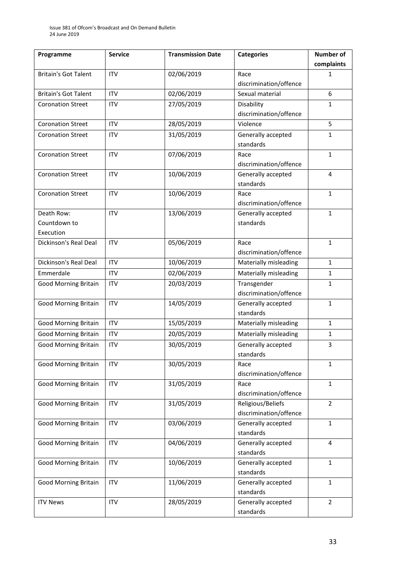| Programme                   | <b>Service</b> | <b>Transmission Date</b> | <b>Categories</b>      | <b>Number of</b> |
|-----------------------------|----------------|--------------------------|------------------------|------------------|
|                             |                |                          |                        | complaints       |
| <b>Britain's Got Talent</b> | <b>ITV</b>     | 02/06/2019               | Race                   | 1                |
|                             |                |                          | discrimination/offence |                  |
| <b>Britain's Got Talent</b> | <b>ITV</b>     | 02/06/2019               | Sexual material        | 6                |
| <b>Coronation Street</b>    | <b>ITV</b>     | 27/05/2019               | Disability             | $\mathbf{1}$     |
|                             |                |                          | discrimination/offence |                  |
| <b>Coronation Street</b>    | <b>ITV</b>     | 28/05/2019               | Violence               | 5                |
| <b>Coronation Street</b>    | <b>ITV</b>     | 31/05/2019               | Generally accepted     | $\mathbf{1}$     |
|                             |                |                          | standards              |                  |
| <b>Coronation Street</b>    | <b>ITV</b>     | 07/06/2019               | Race                   | $\mathbf{1}$     |
|                             |                |                          | discrimination/offence |                  |
| <b>Coronation Street</b>    | <b>ITV</b>     | 10/06/2019               | Generally accepted     | 4                |
|                             |                |                          | standards              |                  |
| <b>Coronation Street</b>    | <b>ITV</b>     | 10/06/2019               | Race                   | $\mathbf{1}$     |
|                             |                |                          | discrimination/offence |                  |
| Death Row:                  | <b>ITV</b>     | 13/06/2019               | Generally accepted     | $\mathbf{1}$     |
| Countdown to                |                |                          | standards              |                  |
| Execution                   |                |                          |                        |                  |
| Dickinson's Real Deal       | <b>ITV</b>     | 05/06/2019               | Race                   | $\mathbf{1}$     |
|                             |                |                          | discrimination/offence |                  |
| Dickinson's Real Deal       | <b>ITV</b>     | 10/06/2019               | Materially misleading  | $\mathbf{1}$     |
| Emmerdale                   | <b>ITV</b>     | 02/06/2019               | Materially misleading  | $\mathbf{1}$     |
| <b>Good Morning Britain</b> | <b>ITV</b>     | 20/03/2019               | Transgender            | $\mathbf{1}$     |
|                             |                |                          | discrimination/offence |                  |
| <b>Good Morning Britain</b> | <b>ITV</b>     | 14/05/2019               | Generally accepted     | $\mathbf{1}$     |
|                             |                |                          | standards              |                  |
| Good Morning Britain        | <b>ITV</b>     | 15/05/2019               | Materially misleading  | $\mathbf{1}$     |
| <b>Good Morning Britain</b> | <b>ITV</b>     | 20/05/2019               | Materially misleading  | $\mathbf{1}$     |
| <b>Good Morning Britain</b> | <b>ITV</b>     | 30/05/2019               | Generally accepted     | 3                |
|                             |                |                          | standards              |                  |
| <b>Good Morning Britain</b> | <b>ITV</b>     | 30/05/2019               | Race                   | $\mathbf{1}$     |
|                             |                |                          | discrimination/offence |                  |
| <b>Good Morning Britain</b> | <b>ITV</b>     | 31/05/2019               | Race                   | $\mathbf{1}$     |
|                             |                |                          | discrimination/offence |                  |
| <b>Good Morning Britain</b> | <b>ITV</b>     | 31/05/2019               | Religious/Beliefs      | $\overline{2}$   |
|                             |                |                          | discrimination/offence |                  |
| <b>Good Morning Britain</b> | <b>ITV</b>     | 03/06/2019               | Generally accepted     | $\mathbf{1}$     |
|                             |                |                          | standards              |                  |
| <b>Good Morning Britain</b> | <b>ITV</b>     | 04/06/2019               | Generally accepted     | $\overline{4}$   |
|                             |                |                          | standards              |                  |
| <b>Good Morning Britain</b> | <b>ITV</b>     | 10/06/2019               | Generally accepted     | $\mathbf{1}$     |
|                             |                |                          | standards              |                  |
| <b>Good Morning Britain</b> | <b>ITV</b>     | 11/06/2019               | Generally accepted     | $\mathbf{1}$     |
|                             |                |                          | standards              |                  |
| <b>ITV News</b>             | <b>ITV</b>     | 28/05/2019               | Generally accepted     | $\overline{2}$   |
|                             |                |                          | standards              |                  |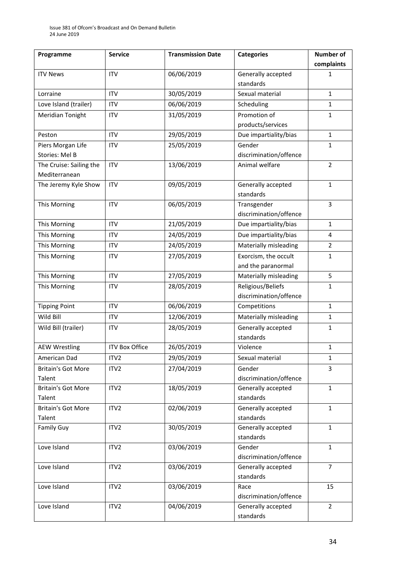| Programme                 | <b>Service</b>        | <b>Transmission Date</b> | <b>Categories</b>      | <b>Number of</b> |
|---------------------------|-----------------------|--------------------------|------------------------|------------------|
|                           |                       |                          |                        | complaints       |
| <b>ITV News</b>           | <b>ITV</b>            | 06/06/2019               | Generally accepted     | $\mathbf 1$      |
|                           |                       |                          | standards              |                  |
| Lorraine                  | <b>ITV</b>            | 30/05/2019               | Sexual material        | $\mathbf{1}$     |
| Love Island (trailer)     | <b>ITV</b>            | 06/06/2019               | Scheduling             | $\mathbf{1}$     |
| Meridian Tonight          | <b>ITV</b>            | 31/05/2019               | Promotion of           | 1                |
|                           |                       |                          | products/services      |                  |
| Peston                    | <b>ITV</b>            | 29/05/2019               | Due impartiality/bias  | $\mathbf{1}$     |
| Piers Morgan Life         | <b>ITV</b>            | 25/05/2019               | Gender                 | $\mathbf{1}$     |
| Stories: Mel B            |                       |                          | discrimination/offence |                  |
| The Cruise: Sailing the   | <b>ITV</b>            | 13/06/2019               | Animal welfare         | $\overline{2}$   |
| Mediterranean             |                       |                          |                        |                  |
| The Jeremy Kyle Show      | <b>ITV</b>            | 09/05/2019               | Generally accepted     | $\mathbf{1}$     |
|                           |                       |                          | standards              |                  |
| This Morning              | <b>ITV</b>            | 06/05/2019               | Transgender            | 3                |
|                           |                       |                          | discrimination/offence |                  |
| This Morning              | <b>ITV</b>            | 21/05/2019               | Due impartiality/bias  | $\mathbf{1}$     |
| This Morning              | <b>ITV</b>            | 24/05/2019               | Due impartiality/bias  | 4                |
| This Morning              | <b>ITV</b>            | 24/05/2019               | Materially misleading  | $\overline{2}$   |
| This Morning              | <b>ITV</b>            | 27/05/2019               | Exorcism, the occult   | $\mathbf{1}$     |
|                           |                       |                          | and the paranormal     |                  |
| This Morning              | <b>ITV</b>            | 27/05/2019               | Materially misleading  | 5                |
| This Morning              | <b>ITV</b>            | 28/05/2019               | Religious/Beliefs      | 1                |
|                           |                       |                          | discrimination/offence |                  |
| <b>Tipping Point</b>      | <b>ITV</b>            | 06/06/2019               | Competitions           | $\mathbf{1}$     |
| Wild Bill                 | <b>ITV</b>            | 12/06/2019               | Materially misleading  | $\mathbf{1}$     |
| Wild Bill (trailer)       | <b>ITV</b>            | 28/05/2019               | Generally accepted     | $\mathbf{1}$     |
|                           |                       |                          | standards              |                  |
| <b>AEW Wrestling</b>      | <b>ITV Box Office</b> | 26/05/2019               | Violence               | $\mathbf{1}$     |
| American Dad              | ITV2                  | 29/05/2019               | Sexual material        | $\mathbf 1$      |
| <b>Britain's Got More</b> | ITV <sub>2</sub>      | 27/04/2019               | Gender                 | 3                |
| Talent                    |                       |                          | discrimination/offence |                  |
| <b>Britain's Got More</b> | ITV2                  | 18/05/2019               | Generally accepted     | $\mathbf{1}$     |
| Talent                    |                       |                          | standards              |                  |
| <b>Britain's Got More</b> | ITV <sub>2</sub>      | 02/06/2019               | Generally accepted     | $\mathbf{1}$     |
| Talent                    |                       |                          | standards              |                  |
| <b>Family Guy</b>         | ITV2                  | 30/05/2019               | Generally accepted     | $\mathbf{1}$     |
|                           |                       |                          | standards              |                  |
| Love Island               | ITV <sub>2</sub>      | 03/06/2019               | Gender                 | $\mathbf{1}$     |
|                           |                       |                          | discrimination/offence |                  |
| Love Island               | ITV <sub>2</sub>      | 03/06/2019               | Generally accepted     | $\overline{7}$   |
|                           |                       |                          | standards              |                  |
| Love Island               | ITV2                  | 03/06/2019               | Race                   | 15               |
|                           |                       |                          | discrimination/offence |                  |
| Love Island               | ITV2                  | 04/06/2019               | Generally accepted     | $\overline{2}$   |
|                           |                       |                          | standards              |                  |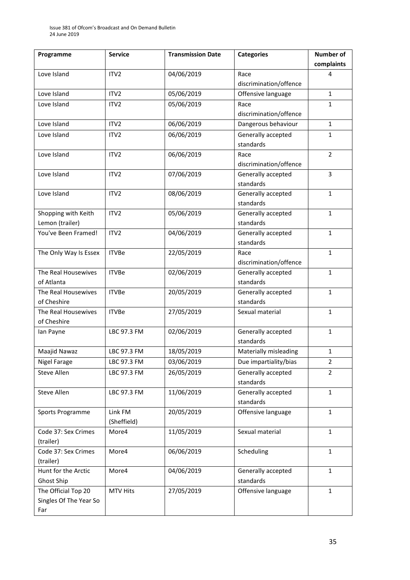| Programme              | <b>Service</b>   | <b>Transmission Date</b> | <b>Categories</b>      | <b>Number of</b> |
|------------------------|------------------|--------------------------|------------------------|------------------|
|                        |                  |                          |                        | complaints       |
| Love Island            | ITV2             | 04/06/2019               | Race                   | 4                |
|                        |                  |                          | discrimination/offence |                  |
| Love Island            | ITV <sub>2</sub> | 05/06/2019               | Offensive language     | $\mathbf{1}$     |
| Love Island            | ITV <sub>2</sub> | 05/06/2019               | Race                   | $\mathbf{1}$     |
|                        |                  |                          | discrimination/offence |                  |
| Love Island            | ITV <sub>2</sub> | 06/06/2019               | Dangerous behaviour    | $\mathbf{1}$     |
| Love Island            | ITV <sub>2</sub> | 06/06/2019               | Generally accepted     | $\mathbf{1}$     |
|                        |                  |                          | standards              |                  |
| Love Island            | ITV <sub>2</sub> | 06/06/2019               | Race                   | $\overline{2}$   |
|                        |                  |                          | discrimination/offence |                  |
| Love Island            | ITV <sub>2</sub> | 07/06/2019               | Generally accepted     | 3                |
|                        |                  |                          | standards              |                  |
| Love Island            | ITV2             | 08/06/2019               | Generally accepted     | $\mathbf{1}$     |
|                        |                  |                          | standards              |                  |
| Shopping with Keith    | ITV2             | 05/06/2019               | Generally accepted     | $\mathbf{1}$     |
| Lemon (trailer)        |                  |                          | standards              |                  |
| You've Been Framed!    | ITV2             | 04/06/2019               | Generally accepted     | $\mathbf{1}$     |
|                        |                  |                          | standards              |                  |
| The Only Way Is Essex  | <b>ITVBe</b>     | 22/05/2019               | Race                   | $\mathbf{1}$     |
|                        |                  |                          | discrimination/offence |                  |
| The Real Housewives    | <b>ITVBe</b>     | 02/06/2019               | Generally accepted     | $\mathbf{1}$     |
| of Atlanta             |                  |                          | standards              |                  |
| The Real Housewives    | <b>ITVBe</b>     | 20/05/2019               | Generally accepted     | $\mathbf{1}$     |
| of Cheshire            |                  |                          | standards              |                  |
| The Real Housewives    | <b>ITVBe</b>     | 27/05/2019               | Sexual material        | $\mathbf{1}$     |
| of Cheshire            |                  |                          |                        |                  |
| lan Payne              | LBC 97.3 FM      | 02/06/2019               | Generally accepted     | $\mathbf{1}$     |
|                        |                  |                          | standards              |                  |
| Maajid Nawaz           | LBC 97.3 FM      | 18/05/2019               | Materially misleading  | $\mathbf{1}$     |
| Nigel Farage           | LBC 97.3 FM      | 03/06/2019               | Due impartiality/bias  | $\overline{2}$   |
| Steve Allen            | LBC 97.3 FM      | 26/05/2019               | Generally accepted     | 2                |
|                        |                  |                          | standards              |                  |
| Steve Allen            | LBC 97.3 FM      | 11/06/2019               | Generally accepted     | $\mathbf{1}$     |
|                        |                  |                          | standards              |                  |
| Sports Programme       | Link FM          | 20/05/2019               | Offensive language     | $\mathbf{1}$     |
|                        | (Sheffield)      |                          |                        |                  |
| Code 37: Sex Crimes    | More4            | 11/05/2019               | Sexual material        | $\mathbf{1}$     |
| (trailer)              |                  |                          |                        |                  |
| Code 37: Sex Crimes    | More4            | 06/06/2019               | Scheduling             | $\mathbf{1}$     |
| (trailer)              |                  |                          |                        |                  |
| Hunt for the Arctic    | More4            | 04/06/2019               | Generally accepted     | 1                |
| Ghost Ship             |                  |                          | standards              |                  |
| The Official Top 20    | <b>MTV Hits</b>  | 27/05/2019               | Offensive language     | $\mathbf{1}$     |
| Singles Of The Year So |                  |                          |                        |                  |
| Far                    |                  |                          |                        |                  |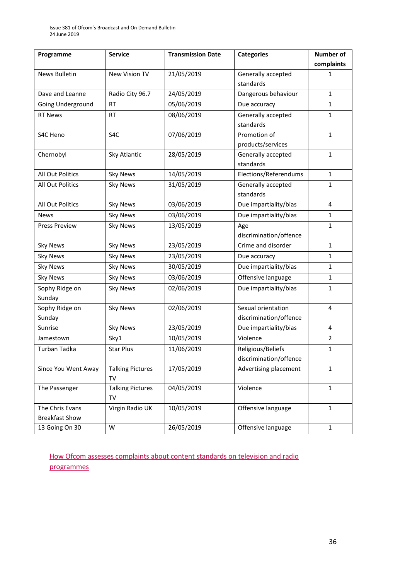| Programme             | <b>Service</b>          | <b>Transmission Date</b> | <b>Categories</b>      | <b>Number of</b> |
|-----------------------|-------------------------|--------------------------|------------------------|------------------|
|                       |                         |                          |                        | complaints       |
| News Bulletin         | New Vision TV           | 21/05/2019               | Generally accepted     | 1                |
|                       |                         |                          | standards              |                  |
| Dave and Leanne       | Radio City 96.7         | 24/05/2019               | Dangerous behaviour    | $\mathbf{1}$     |
| Going Underground     | <b>RT</b>               | 05/06/2019               | Due accuracy           | $\mathbf{1}$     |
| <b>RT News</b>        | <b>RT</b>               | 08/06/2019               | Generally accepted     | $\mathbf{1}$     |
|                       |                         |                          | standards              |                  |
| S4C Heno              | S4C                     | 07/06/2019               | Promotion of           | $\mathbf{1}$     |
|                       |                         |                          | products/services      |                  |
| Chernobyl             | Sky Atlantic            | 28/05/2019               | Generally accepted     | $\mathbf{1}$     |
|                       |                         |                          | standards              |                  |
| All Out Politics      | <b>Sky News</b>         | 14/05/2019               | Elections/Referendums  | $\mathbf{1}$     |
| All Out Politics      | <b>Sky News</b>         | 31/05/2019               | Generally accepted     | $\mathbf{1}$     |
|                       |                         |                          | standards              |                  |
| All Out Politics      | <b>Sky News</b>         | 03/06/2019               | Due impartiality/bias  | $\overline{4}$   |
| <b>News</b>           | <b>Sky News</b>         | 03/06/2019               | Due impartiality/bias  | $\mathbf{1}$     |
| <b>Press Preview</b>  | <b>Sky News</b>         | 13/05/2019               | Age                    | $\mathbf{1}$     |
|                       |                         |                          | discrimination/offence |                  |
| <b>Sky News</b>       | <b>Sky News</b>         | 23/05/2019               | Crime and disorder     | $\mathbf{1}$     |
| <b>Sky News</b>       | <b>Sky News</b>         | 23/05/2019               | Due accuracy           | 1                |
| <b>Sky News</b>       | <b>Sky News</b>         | 30/05/2019               | Due impartiality/bias  | $\mathbf{1}$     |
| <b>Sky News</b>       | <b>Sky News</b>         | 03/06/2019               | Offensive language     | $\mathbf{1}$     |
| Sophy Ridge on        | <b>Sky News</b>         | 02/06/2019               | Due impartiality/bias  | $\mathbf{1}$     |
| Sunday                |                         |                          |                        |                  |
| Sophy Ridge on        | <b>Sky News</b>         | 02/06/2019               | Sexual orientation     | 4                |
| Sunday                |                         |                          | discrimination/offence |                  |
| Sunrise               | <b>Sky News</b>         | 23/05/2019               | Due impartiality/bias  | 4                |
| Jamestown             | Sky1                    | 10/05/2019               | Violence               | $\overline{2}$   |
| <b>Turban Tadka</b>   | <b>Star Plus</b>        | 11/06/2019               | Religious/Beliefs      | $\mathbf{1}$     |
|                       |                         |                          | discrimination/offence |                  |
| Since You Went Away   | <b>Talking Pictures</b> | 17/05/2019               | Advertising placement  | $\mathbf{1}$     |
|                       | <b>TV</b>               |                          |                        |                  |
| The Passenger         | <b>Talking Pictures</b> | 04/05/2019               | Violence               | $\mathbf{1}$     |
|                       | TV                      |                          |                        |                  |
| The Chris Evans       | Virgin Radio UK         | 10/05/2019               | Offensive language     | $\mathbf{1}$     |
| <b>Breakfast Show</b> |                         |                          |                        |                  |
| 13 Going On 30        | W                       | 26/05/2019               | Offensive language     | 1                |

[How Ofcom assesses complaints about content standards on television and radio](https://www.ofcom.org.uk/__data/assets/pdf_file/0020/55109/breaches-content-standards.pdf)  [programmes](https://www.ofcom.org.uk/__data/assets/pdf_file/0020/55109/breaches-content-standards.pdf)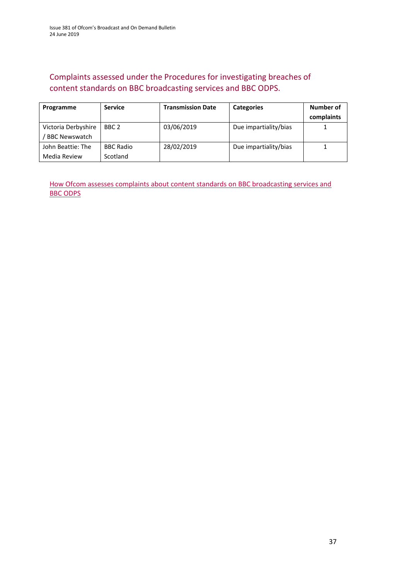### Complaints assessed under the Procedures for investigating breaches of content standards on BBC broadcasting services and BBC ODPS.

| Programme                                   | <b>Service</b>               | <b>Transmission Date</b> | <b>Categories</b>     | Number of<br>complaints |
|---------------------------------------------|------------------------------|--------------------------|-----------------------|-------------------------|
| Victoria Derbyshire<br><b>BBC Newswatch</b> | BBC 2                        | 03/06/2019               | Due impartiality/bias |                         |
| John Beattie: The<br>Media Review           | <b>BBC Radio</b><br>Scotland | 28/02/2019               | Due impartiality/bias |                         |

[How Ofcom assesses complaints about content standards](https://www.ofcom.org.uk/__data/assets/pdf_file/0002/100100/Procedures-for-investigating-breaches-of-content-standards-on-BBC-broadcasting-services-and-BBC-on-demand-programme-services.pdf) on BBC broadcasting services and [BBC ODPS](https://www.ofcom.org.uk/__data/assets/pdf_file/0002/100100/Procedures-for-investigating-breaches-of-content-standards-on-BBC-broadcasting-services-and-BBC-on-demand-programme-services.pdf)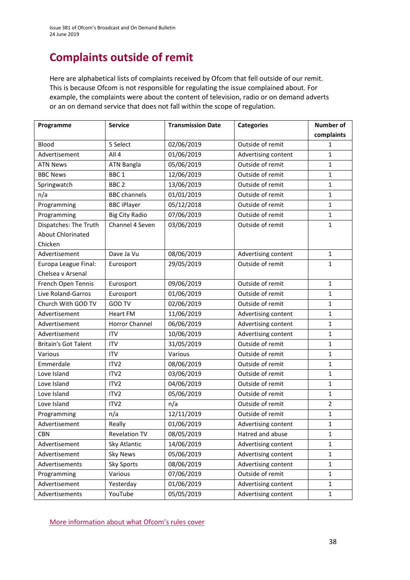# **Complaints outside of remit**

Here are alphabetical lists of complaints received by Ofcom that fell outside of our remit. This is because Ofcom is not responsible for regulating the issue complained about. For example, the complaints were about the content of television, radio or on demand adverts or an on demand service that does not fall within the scope of regulation.

| Programme                   | <b>Service</b>        | <b>Transmission Date</b> | <b>Categories</b>   | <b>Number of</b> |
|-----------------------------|-----------------------|--------------------------|---------------------|------------------|
|                             |                       |                          |                     | complaints       |
| Blood                       | 5 Select              | 02/06/2019               | Outside of remit    | $\mathbf{1}$     |
| Advertisement               | All 4                 | 01/06/2019               | Advertising content | $\mathbf{1}$     |
| <b>ATN News</b>             | <b>ATN Bangla</b>     | 05/06/2019               | Outside of remit    | 1                |
| <b>BBC News</b>             | BBC <sub>1</sub>      | 12/06/2019               | Outside of remit    | $\mathbf{1}$     |
| Springwatch                 | BBC <sub>2</sub>      | 13/06/2019               | Outside of remit    | $\mathbf{1}$     |
| n/a                         | <b>BBC</b> channels   | 01/01/2019               | Outside of remit    | $\mathbf{1}$     |
| Programming                 | <b>BBC</b> iPlayer    | 05/12/2018               | Outside of remit    | 1                |
| Programming                 | <b>Big City Radio</b> | 07/06/2019               | Outside of remit    | $\mathbf{1}$     |
| Dispatches: The Truth       | Channel 4 Seven       | 03/06/2019               | Outside of remit    | $\mathbf{1}$     |
| <b>About Chlorinated</b>    |                       |                          |                     |                  |
| Chicken                     |                       |                          |                     |                  |
| Advertisement               | Dave Ja Vu            | 08/06/2019               | Advertising content | $\mathbf{1}$     |
| Europa League Final:        | Eurosport             | 29/05/2019               | Outside of remit    | $\mathbf{1}$     |
| Chelsea v Arsenal           |                       |                          |                     |                  |
| French Open Tennis          | Eurosport             | 09/06/2019               | Outside of remit    | $\mathbf{1}$     |
| Live Roland-Garros          | Eurosport             | 01/06/2019               | Outside of remit    | $\mathbf{1}$     |
| Church With GOD TV          | <b>GOD TV</b>         | 02/06/2019               | Outside of remit    | $\mathbf{1}$     |
| Advertisement               | <b>Heart FM</b>       | 11/06/2019               | Advertising content | $\mathbf{1}$     |
| Advertisement               | <b>Horror Channel</b> | 06/06/2019               | Advertising content | $\mathbf{1}$     |
| Advertisement               | <b>ITV</b>            | 10/06/2019               | Advertising content | $\mathbf{1}$     |
| <b>Britain's Got Talent</b> | <b>ITV</b>            | 31/05/2019               | Outside of remit    | $\mathbf{1}$     |
| Various                     | <b>ITV</b>            | Various                  | Outside of remit    | $\mathbf{1}$     |
| Emmerdale                   | ITV <sub>2</sub>      | 08/06/2019               | Outside of remit    | $\mathbf{1}$     |
| Love Island                 | ITV2                  | 03/06/2019               | Outside of remit    | $\mathbf{1}$     |
| Love Island                 | ITV <sub>2</sub>      | 04/06/2019               | Outside of remit    | $\mathbf{1}$     |
| Love Island                 | ITV2                  | 05/06/2019               | Outside of remit    | $\mathbf{1}$     |
| Love Island                 | ITV2                  | n/a                      | Outside of remit    | $\overline{2}$   |
| Programming                 | n/a                   | 12/11/2019               | Outside of remit    | $\mathbf{1}$     |
| Advertisement               | Really                | 01/06/2019               | Advertising content | $\mathbf{1}$     |
| <b>CBN</b>                  | <b>Revelation TV</b>  | 08/05/2019               | Hatred and abuse    | $\mathbf{1}$     |
| Advertisement               | Sky Atlantic          | 14/06/2019               | Advertising content | 1                |
| Advertisement               | <b>Sky News</b>       | 05/06/2019               | Advertising content | $\mathbf{1}$     |
| Advertisements              | Sky Sports            | 08/06/2019               | Advertising content | 1                |
| Programming                 | Various               | 07/06/2019               | Outside of remit    | $\mathbf 1$      |
| Advertisement               | Yesterday             | 01/06/2019               | Advertising content | $\mathbf{1}$     |
| Advertisements              | YouTube               | 05/05/2019               | Advertising content | 1                |

[More information about what Ofcom's rules cover](https://www.ofcom.org.uk/tv-radio-and-on-demand/how-to-report-a-complaint/what-does-ofcom-cover)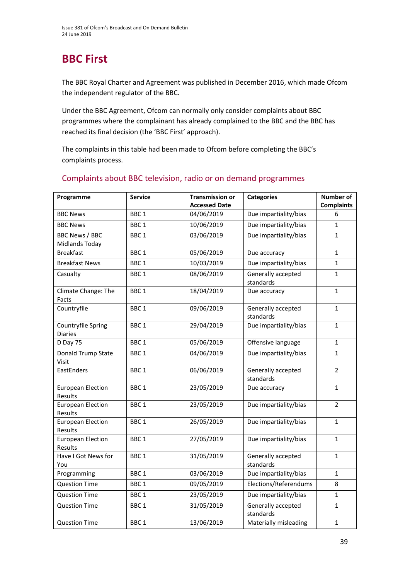# **BBC First**

The BBC Royal Charter and Agreement was published in December 2016, which made Ofcom the independent regulator of the BBC.

Under the BBC Agreement, Ofcom can normally only consider complaints about BBC programmes where the complainant has already complained to the BBC and the BBC has reached its final decision (the 'BBC First' approach).

The complaints in this table had been made to Ofcom before completing the BBC's complaints process.

| Programme                               | <b>Service</b>   | <b>Transmission or</b><br><b>Accessed Date</b> | <b>Categories</b>               | <b>Number of</b>       |
|-----------------------------------------|------------------|------------------------------------------------|---------------------------------|------------------------|
| <b>BBC News</b>                         | BBC <sub>1</sub> | 04/06/2019                                     | Due impartiality/bias           | <b>Complaints</b><br>6 |
| <b>BBC News</b>                         | BBC <sub>1</sub> | 10/06/2019                                     | Due impartiality/bias           | $\mathbf{1}$           |
|                                         |                  | 03/06/2019                                     | Due impartiality/bias           |                        |
| <b>BBC News / BBC</b><br>Midlands Today | BBC <sub>1</sub> |                                                |                                 | $\mathbf{1}$           |
| <b>Breakfast</b>                        | BBC <sub>1</sub> | 05/06/2019                                     | Due accuracy                    | $\mathbf{1}$           |
| <b>Breakfast News</b>                   | BBC <sub>1</sub> | 10/03/2019                                     | Due impartiality/bias           | $\mathbf{1}$           |
| Casualty                                | BBC <sub>1</sub> | 08/06/2019                                     | Generally accepted<br>standards | $\mathbf{1}$           |
| Climate Change: The<br>Facts            | BBC <sub>1</sub> | 18/04/2019                                     | Due accuracy                    | 1                      |
| Countryfile                             | BBC <sub>1</sub> | 09/06/2019                                     | Generally accepted<br>standards | $\mathbf{1}$           |
| Countryfile Spring<br><b>Diaries</b>    | BBC <sub>1</sub> | 29/04/2019                                     | Due impartiality/bias           | $\mathbf{1}$           |
| D Day 75                                | BBC <sub>1</sub> | 05/06/2019                                     | Offensive language              | $\mathbf{1}$           |
| Donald Trump State<br>Visit             | BBC <sub>1</sub> | 04/06/2019                                     | Due impartiality/bias           | 1                      |
| EastEnders                              | BBC <sub>1</sub> | 06/06/2019                                     | Generally accepted<br>standards | $\overline{2}$         |
| <b>European Election</b><br>Results     | BBC <sub>1</sub> | 23/05/2019                                     | Due accuracy                    | $\mathbf{1}$           |
| <b>European Election</b><br>Results     | BBC <sub>1</sub> | 23/05/2019                                     | Due impartiality/bias           | $\overline{2}$         |
| <b>European Election</b><br>Results     | BBC <sub>1</sub> | 26/05/2019                                     | Due impartiality/bias           | $\mathbf{1}$           |
| <b>European Election</b><br>Results     | BBC <sub>1</sub> | 27/05/2019                                     | Due impartiality/bias           | $\mathbf{1}$           |
| Have I Got News for<br>You              | BBC <sub>1</sub> | 31/05/2019                                     | Generally accepted<br>standards | $\mathbf{1}$           |
| Programming                             | BBC <sub>1</sub> | 03/06/2019                                     | Due impartiality/bias           | $\mathbf{1}$           |
| <b>Question Time</b>                    | BBC <sub>1</sub> | 09/05/2019                                     | Elections/Referendums           | 8                      |
| <b>Question Time</b>                    | BBC <sub>1</sub> | 23/05/2019                                     | Due impartiality/bias           | $\mathbf{1}$           |
| <b>Question Time</b>                    | BBC <sub>1</sub> | 31/05/2019                                     | Generally accepted<br>standards | $\mathbf{1}$           |
| <b>Question Time</b>                    | BBC <sub>1</sub> | 13/06/2019                                     | Materially misleading           | $\mathbf{1}$           |

### Complaints about BBC television, radio or on demand programmes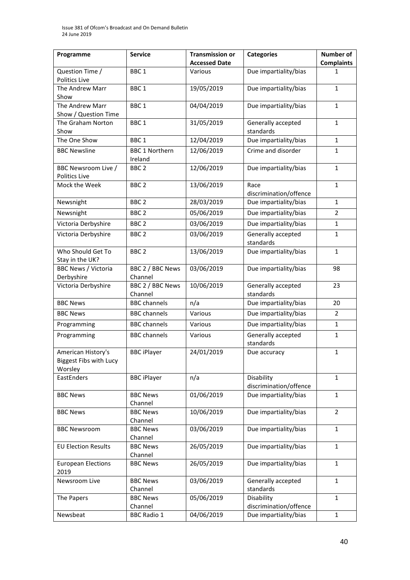| Programme                                               | <b>Service</b>                   | <b>Transmission or</b><br><b>Accessed Date</b> | <b>Categories</b>                    | <b>Number of</b><br><b>Complaints</b> |
|---------------------------------------------------------|----------------------------------|------------------------------------------------|--------------------------------------|---------------------------------------|
| Question Time /<br>Politics Live                        | BBC <sub>1</sub>                 | Various                                        | Due impartiality/bias                | 1                                     |
| The Andrew Marr<br>Show                                 | BBC <sub>1</sub>                 | 19/05/2019                                     | Due impartiality/bias                | $\mathbf{1}$                          |
| The Andrew Marr<br>Show / Question Time                 | BBC <sub>1</sub>                 | 04/04/2019                                     | Due impartiality/bias                | $\mathbf{1}$                          |
| The Graham Norton<br>Show                               | BBC <sub>1</sub>                 | 31/05/2019                                     | Generally accepted<br>standards      | $\mathbf{1}$                          |
| The One Show                                            | BBC <sub>1</sub>                 | 12/04/2019                                     | Due impartiality/bias                | 1                                     |
| <b>BBC Newsline</b>                                     | <b>BBC 1 Northern</b><br>Ireland | 12/06/2019                                     | Crime and disorder                   | 1                                     |
| BBC Newsroom Live /<br>Politics Live                    | BBC <sub>2</sub>                 | 12/06/2019                                     | Due impartiality/bias                | 1                                     |
| Mock the Week                                           | BBC <sub>2</sub>                 | 13/06/2019                                     | Race<br>discrimination/offence       | 1                                     |
| Newsnight                                               | BBC <sub>2</sub>                 | 28/03/2019                                     | Due impartiality/bias                | 1                                     |
| Newsnight                                               | BBC <sub>2</sub>                 | 05/06/2019                                     | Due impartiality/bias                | 2                                     |
| Victoria Derbyshire                                     | BBC <sub>2</sub>                 | 03/06/2019                                     | Due impartiality/bias                | $\mathbf{1}$                          |
| Victoria Derbyshire                                     | BBC <sub>2</sub>                 | 03/06/2019                                     | Generally accepted<br>standards      | $\mathbf{1}$                          |
| Who Should Get To<br>Stay in the UK?                    | BBC <sub>2</sub>                 | 13/06/2019                                     | Due impartiality/bias                | $\mathbf{1}$                          |
| <b>BBC News / Victoria</b><br>Derbyshire                | BBC 2 / BBC News<br>Channel      | 03/06/2019                                     | Due impartiality/bias                | 98                                    |
| Victoria Derbyshire                                     | BBC 2 / BBC News<br>Channel      | 10/06/2019                                     | Generally accepted<br>standards      | 23                                    |
| <b>BBC News</b>                                         | <b>BBC</b> channels              | n/a                                            | Due impartiality/bias                | 20                                    |
| <b>BBC News</b>                                         | <b>BBC</b> channels              | Various                                        | Due impartiality/bias                | 2                                     |
| Programming                                             | <b>BBC</b> channels              | Various                                        | Due impartiality/bias                | $\mathbf{1}$                          |
| Programming                                             | <b>BBC</b> channels              | Various                                        | Generally accepted<br>standards      | $\mathbf{1}$                          |
| American History's<br>Biggest Fibs with Lucy<br>Worsley | <b>BBC iPlayer</b>               | 24/01/2019                                     | Due accuracy                         | $\mathbf{1}$                          |
| EastEnders                                              | <b>BBC iPlayer</b>               | n/a                                            | Disability<br>discrimination/offence | $\mathbf{1}$                          |
| <b>BBC News</b>                                         | <b>BBC News</b><br>Channel       | 01/06/2019                                     | Due impartiality/bias                | $\mathbf{1}$                          |
| <b>BBC News</b>                                         | <b>BBC News</b><br>Channel       | 10/06/2019                                     | Due impartiality/bias                | $\overline{2}$                        |
| <b>BBC Newsroom</b>                                     | <b>BBC News</b><br>Channel       | 03/06/2019                                     | Due impartiality/bias                | 1                                     |
| <b>EU Election Results</b>                              | <b>BBC News</b><br>Channel       | 26/05/2019                                     | Due impartiality/bias                | 1                                     |
| <b>European Elections</b><br>2019                       | <b>BBC News</b>                  | 26/05/2019                                     | Due impartiality/bias                | $\mathbf{1}$                          |
| Newsroom Live                                           | <b>BBC News</b><br>Channel       | 03/06/2019                                     | Generally accepted<br>standards      | $\mathbf{1}$                          |
| The Papers                                              | <b>BBC News</b><br>Channel       | 05/06/2019                                     | Disability<br>discrimination/offence | $\mathbf{1}$                          |
| Newsbeat                                                | <b>BBC Radio 1</b>               | 04/06/2019                                     | Due impartiality/bias                | 1                                     |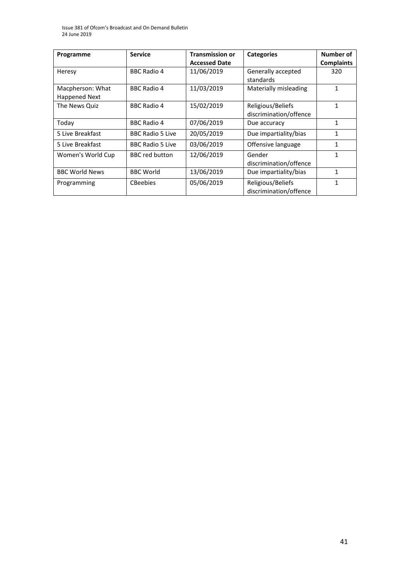| Programme                                | <b>Service</b>          | <b>Transmission or</b> | <b>Categories</b>                           | Number of         |
|------------------------------------------|-------------------------|------------------------|---------------------------------------------|-------------------|
|                                          |                         | <b>Accessed Date</b>   |                                             | <b>Complaints</b> |
| Heresy                                   | <b>BBC Radio 4</b>      | 11/06/2019             | Generally accepted<br>standards             | 320               |
| Macpherson: What<br><b>Happened Next</b> | <b>BBC Radio 4</b>      | 11/03/2019             | Materially misleading                       | $\mathbf{1}$      |
| The News Quiz                            | <b>BBC Radio 4</b>      | 15/02/2019             | Religious/Beliefs<br>discrimination/offence | 1                 |
| Todav                                    | <b>BBC Radio 4</b>      | 07/06/2019             | Due accuracy                                | 1                 |
| 5 Live Breakfast                         | <b>BBC Radio 5 Live</b> | 20/05/2019             | Due impartiality/bias                       | 1                 |
| 5 Live Breakfast                         | <b>BBC Radio 5 Live</b> | 03/06/2019             | Offensive language                          | 1                 |
| Women's World Cup                        | <b>BBC</b> red button   | 12/06/2019             | Gender<br>discrimination/offence            | 1                 |
| <b>BBC World News</b>                    | <b>BBC World</b>        | 13/06/2019             | Due impartiality/bias                       | 1                 |
| Programming                              | <b>CBeebies</b>         | 05/06/2019             | Religious/Beliefs<br>discrimination/offence | 1                 |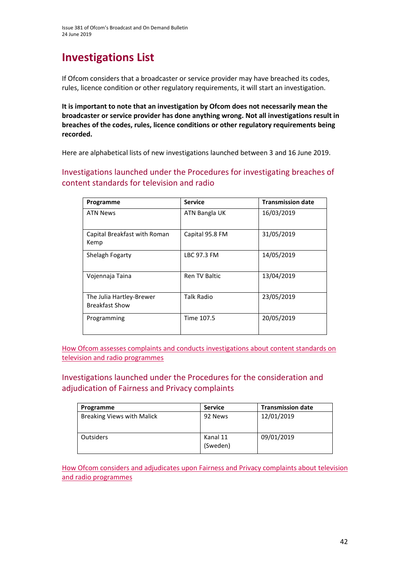# **Investigations List**

If Ofcom considers that a broadcaster or service provider may have breached its codes, rules, licence condition or other regulatory requirements, it will start an investigation.

**It is important to note that an investigation by Ofcom does not necessarily mean the broadcaster or service provider has done anything wrong. Not all investigations result in breaches of the codes, rules, licence conditions or other regulatory requirements being recorded.**

Here are alphabetical lists of new investigations launched between 3 and 16 June 2019.

Investigations launched under the Procedures for investigating breaches of content standards for television and radio

| Programme                                         | <b>Service</b>       | <b>Transmission date</b> |
|---------------------------------------------------|----------------------|--------------------------|
| <b>ATN News</b>                                   | ATN Bangla UK        | 16/03/2019               |
| Capital Breakfast with Roman<br>Kemp              | Capital 95.8 FM      | 31/05/2019               |
| Shelagh Fogarty                                   | LBC 97.3 FM          | 14/05/2019               |
| Vojennaja Taina                                   | <b>Ren TV Baltic</b> | 13/04/2019               |
| The Julia Hartley-Brewer<br><b>Breakfast Show</b> | <b>Talk Radio</b>    | 23/05/2019               |
| Programming                                       | Time 107.5           | 20/05/2019               |

How Ofcom [assesses complaints and conducts investigations about content standards on](https://www.ofcom.org.uk/__data/assets/pdf_file/0020/55109/breaches-content-standards.pdf)  [television and radio programmes](https://www.ofcom.org.uk/__data/assets/pdf_file/0020/55109/breaches-content-standards.pdf)

Investigations launched under the Procedures for the consideration and adjudication of Fairness and Privacy complaints

| Programme                         | <b>Service</b>       | <b>Transmission date</b> |
|-----------------------------------|----------------------|--------------------------|
| <b>Breaking Views with Malick</b> | 92 News              | 12/01/2019               |
| <b>Outsiders</b>                  | Kanal 11<br>(Sweden) | 09/01/2019               |

How Ofcom considers and adjudicates upon [Fairness and Privacy complaints about television](https://www.ofcom.org.uk/__data/assets/pdf_file/0031/57388/fairness-privacy-complaints.pdf)  [and radio programmes](https://www.ofcom.org.uk/__data/assets/pdf_file/0031/57388/fairness-privacy-complaints.pdf)